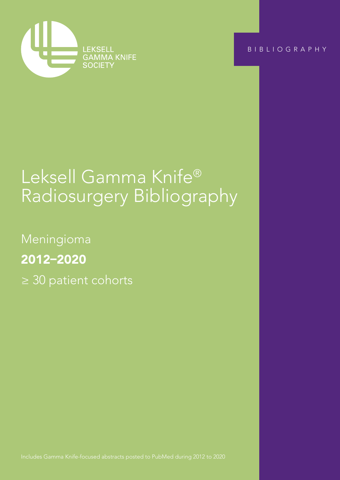

BIBLIOGRAPHY

# Leksell Gamma Knife® Radiosurgery Bibliography

Meningioma 2012–2020 ≥ 30 patient cohorts

Includes Gamma Knife-focused abstracts posted to PubMed during 2012 to 2020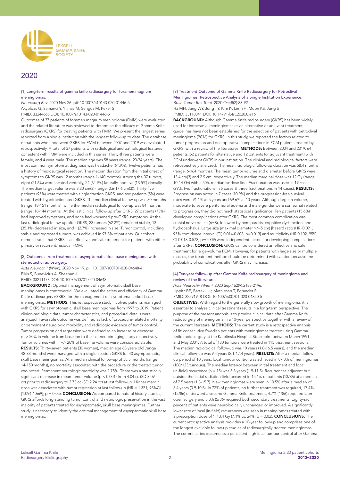

# 2020

# [1] Long-term results of gamma knife radiosurgery for foramen magnum meningiomas.

*Neurosurg Rev*. 2020 Nov 26. pii: 10.1007/s10143-020-01446-5. Akyoldas G, Samanci Y, Yilmaz M, Sengoz M, Peker S PMID: 33244665 DOI: 10.1007/s10143-020-01446-5

Outcomes of 37 patients of foramen magnum meningioma (FMM) were evaluated, and the related literature was reviewed to determine the efficacy of Gamma Knife radiosurgery (GKRS) for treating patients with FMM. We present the largest series reported from a single institution with the longest follow-up to date. The database of patients who underwent GKRS for FMM between 2007 and 2019 was evaluated retrospectively. A total of 37 patients with radiological and pathological features consistent with FMM were included in this series. Thirty-three patients were female, and 4 were male. The median age was 58 years (range, 23-74 years). The most common symptom at diagnosis was headache (64.9%). Twelve patients had a history of microsurgical resection. The median duration from the initial onset of symptoms to GKRS was 12 months (range 1-140 months). Among the 37 tumors, eight (21.6%) were located ventrally, 24 (64.9%) laterally, and five (13.5%) dorsally. The median target volume was 3.30 cm(3) (range, 0.6-17.6 cm(3)). Thirty-five patients (95%) were treated with single fraction GKRS, and two patients (5%) were treated with hypofractionated GKRS. The median clinical follow-up was 80 months (range, 18-151 months), while the median radiological follow-up was 84 months (range, 18-144 months). At the last clinical follow-up after GKRS, 27 patients (73%) had improved symptoms, and none had worsened pre-GKRS symptoms. At the last radiological follow-up after GKRS, 23 tumors (62.2%) remained stable, 13 (35.1%) decreased in size, and 1 (2.7%) increased in size. Tumor control, including stable and regressed tumors, was achieved in 97.3% of patients. Our cohort demonstrates that GKRS is an effective and safe treatment for patients with either primary or recurrent/residual FMM.

#### [2] Outcomes from treatment of asymptomatic skull base meningioma with stereotactic radiosurgery.

*Acta Neurochir (Wien)*. 2020 Nov 19. pii: 10.1007/s00701-020-04648-4. Pikis S, Bunevicius A, Sheehan J

PMID: 33211178 DOI: 10.1007/s00701-020-04648-4

BACKGROUND: Optimal management of asymptomatic skull base meningiomas is controversial. We evaluated the safety and efficiency of Gamma Knife radiosurgery (GKRS) for the management of asymptomatic skull base meningiomas. METHODS: This retrospective study involved patients managed with GKRS for asymptomatic, skull base meningiomas from 1997 to 2019. Patient clinico-radiologic data, tumor characteristics, and procedural details were analyzed. Favorable outcome was defined as lack of procedure-related mortality or permanent neurologic morbidity and radiologic evidence of tumor control. Tumor progression and regression were defined as an increase or decrease of > 20% in volume from baseline to the last neuroimaging study respectively. Tumor volumes within +/- 20% of baseline volume were considered stable. RESULTS: Thirty-seven patients (30 women), median age 68 years old (range 42-83 months) were managed with a single-session GKRS for 40 asymptomatic, skull base meningiomas. At a median clinical follow-up of 58.5 months (range 14-150 months), no mortality associated with the procedure or the treated tumor was noted. Permanent neurologic morbidity was 2.75%. There was a statistically significant decrease in mean tumor volume (p < 0.001) from 4.04 cc (SD 3.09 cc) prior to radiosurgery to 2.73 cc (SD 2.24 cc) at last follow-up. Higher margin dose was associated with tumor regression at last follow-up (HR = 1.351; 95%CI  $[1.094-1.669]$ ; p = 0.05). **CONCLUSION:** As compared to natural history studies, GKRS affords long-standing tumor control and neurologic preservation in the vast majority of patients treated for asymptomatic, skull base meningiomas. Further study is necessary to identify the optimal management of asymptomatic skull base meningiomas.

## [3] Treatment Outcome of Gamma Knife Radiosurgery for Petroclival Meningiomas: Retrospective Analysis of a Single Institution Experience. *Brain Tumor Res Treat*. 2020 Oct;8(2):83-92.

Ha MH, Jang WY, Jung TY, Kim IY, Lim SH, Moon KS, Jung S PMID: 33118341 DOI: 10.14791/btrt.2020.8.e16

BACKGROUND: Although Gamma Knife radiosurgery (GKRS) has been widely used for intracranial meningiomas as an alternative or adjuvant treatment, guidelines have not been established for the selection of patients with petroclival meningioma (PCM) for GKRS. In this study, we reported the factors related to tumor progression and postoperative complications in PCM patients treated by GKRS, with a review of the literatures. METHODS: Between 2004 and 2019, 64 patients (52 patients for alternative and 12 patients for adjuvant treatment) with PCM underwent GKRS in our institution. The clinical and radiological factors were retrospectively analyzed. The mean radiologic follow-up duration was 58.4 months (range, 6-164 months). The mean tumor volume and diameter before GKRS were 13.4 cm(3) and 2.9 cm, respectively. The median marginal dose was 12 Gy (range, 10-14 Gy) with a 50% median isodose line. Fractionation was used in 19 cases (29%, two fractionations in 5 cases & three fractionations in 14 cases). RESULTS: Progression was noted in 7 cases (10.9%) and the progression-free survival rates were 91.1% at 5 years and 69.6% at 10 years. Although large in volume, moderate to severe peritumoral edema and male gender were somewhat related to progression, they did not reach statistical significance. Ten patients (15.6%) developed complications after GKRS. The most common complication was cranial nerve deficit (n=8), followed by hemiparesis, cognitive dysfunction, and hydrocephalus. Large size (maximal diameter >/=5 cm) [hazard ratio (HR) 0.091, 95% confidence interval (CI) 0.014-0.608; p=0.013] and multiplicity (HR 0.102, 95% CI 0.018-0.573; p=0.009) were independent factors for developing complications after GKRS. **CONCLUSION:** GKRS can be considered an effective and safe treatment for large-volume PCM. However, for patients with large size or multiple masses, the treatment method should be determined with caution because the probability of complications after GKRS may increase.

#### [4] Ten-year follow-up after Gamma Knife radiosurgery of meningioma and review of the literature.

*Acta Neurochir (Wien)*. 2020 Sep;162(9):2183-2196. Lippitz BE, Bartek J Jr, Mathiesen T, Forander P PMID: 32591948 DOI: 10.1007/s00701-020-04350-5

OBJECTIVES: With regard to the generally slow growth of meningioma, it is essential to analyse clinical treatment results in a long-term perspective. The purpose of the present analysis is to provide clinical data after Gamma Knife radiosurgery of meningioma in a 10-year perspective together with a review of the current literature. **METHODS:** The current study is a retrospective analysis of 86 consecutive Swedish patients with meningiomas treated using Gamma Knife radiosurgery at the Karolinska Hospital Stockholm between March 1991 and May 2001. A total of 130 tumours were treated in 115 treatment sessions. The median radiological follow-up was 10 years (1.8-16.5 years), and the median clinical follow-up was 9.4 years (2.1-17.4 years). RESULTS: After a median followup period of 10 years, local tumour control was achieved in 87.8% of meningiomas (108/123 tumours). The median latency between initial treatment and local (in-field) recurrence (n = 15) was 5.8 years (1.9-11.5). Recurrences adjacent but outside the initial radiation field occurred in 15.1% of patients (13/86) at a median of 7.5 years (1.3-15.7). New meningiomas were seen in 10.5% after a median of 5.4 years (0.9-10.8). In 72% of patients, no further treatment was required, 17.4% (15/86) underwent a second Gamma Knife treatment, 4.7% (4/86) required later open surgery and 5.8% (5/86) required both secondary treatments. Eighty-six percent of patients were neurologically unchanged or improved. A significantly lower rate of local (in-field) recurrences was seen in meningiomas treated with a prescription dose of  $> 13.4$  Gy (7.1% vs. 24%, p = 0.02). **CONCLUSIONS:** The current retrospective analysis provides a 10-year follow-up and comprises one of the longest available follow-up studies of radiosurgically treated meningiomas. The current series documents a persistent high local tumour control after Gamma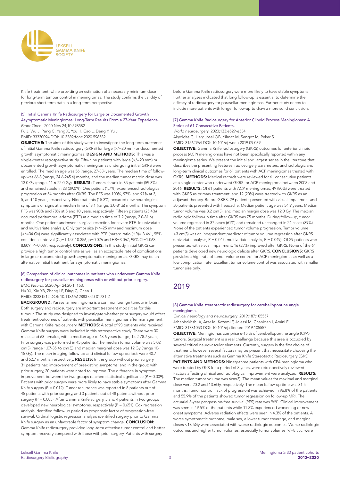

Knife treatment, while providing an estimation of a necessary minimum dose for long-term tumour control in meningiomas. The study confirms the validity of previous short-term data in a long-term perspective.

#### [5] Initial Gamma Knife Radiosurgery for Large or Documented Growth Asymptomatic Meningiomas: Long-Term Results From a 27-Year Experience. *Front Oncol*. 2020 Nov 24;10:598582.

Fu J, Wu L, Peng C, Yang X, You H, Cao L, Deng Y, Yu J PMID: 33330094 DOI: 10.3389/fonc.2020.598582

OBJECTIVE: The aims of this study were to investigate the long-term outcomes of initial Gamma Knife radiosurgery (GKRS) for large (>/=20 mm) or documented growth asymptomatic meningiomas. DESIGN AND METHODS: This was a single-center retrospective study. Fifty-nine patients with large (>/=20 mm) or documented growth asymptomatic meningiomas undergoing initial GKRS were enrolled. The median age was 56 (range, 27-83) years. The median time of followup was 66.8 (range, 24.6-245.6) months, and the median tumor margin dose was 13.0 Gy (range, 11.6-22.0 Gy). RESULTS: Tumors shrunk in 35 patients (59.3%) and remained stable in 23 (39.0%). One patient (1.7%) experienced radiological progression at 54 months after GKRS. The PFS was 100%, 97%, and 97% at 3, 5, and 10 years, respectively. Nine patients (15.3%) occurred new neurological symptoms or signs at a median time of 8.1 (range, 3.0-81.6) months. The symptom PFS was 90% and 78% at 5 and 10 years, respectively. Fifteen patients (25.4%) occurred peritumoral edema (PTE) at a median time of 7.2 (range, 2.0-81.6) months. One patient underwent surgical resection for severe PTE. In univariate and multivariate analysis, Only tumor size (>/=25 mm) and maximum dose  $($  >/=34 Gy) were significantly associated with PTE [hazard ratio (HR)= 3.461, 95% confidence interval (CI)=1.157-10.356, p=0.026 and HR=3.067, 95% CI=1.068- 8.809, P=0.037, respectively]. **CONCLUSIONS:** In this study, initial GKRS can provide a high tumor control rate as well as an acceptable rate of complications in large or documented growth asymptomatic meningiomas. GKRS may be an alternative initial treatment for asymptomatic meningiomas.

#### [6] Comparison of clinical outcomes in patients who underwent Gamma Knife radiosurgery for parasellar meningiomas with or without prior surgery. *BMC Neurol*. 2020 Apr 24;20(1):153.

Hu YJ, Xie YB, Zhang LF, Ding C, Chen J

PMID: 32331512 DOI: 10.1186/s12883-020-01731-2

BACKGROUND: Parasellar meningioma is a common benign tumour in brain. Both surgery and radiosurgery are important treatment modalities for this tumour. The study was designed to investigate whether prior surgery would affect treatment outcomes of patients with parasellar meningiomas after management with Gamma Knife radiosurgery. METHODS: A total of 93 patients who received Gamma Knife surgery were included in this retrospective study. There were 30 males and 63 females, with a median age of 48.6 years (range, 15.2-78.7 years). Prior surgery was performed in 45 patients. The median tumor volume was 5.02 cm(3) (range 1.07-35.46 cm(3)) and median marginal dose was 12 Gy (range 10- 15 Gy). The mean imaging follow-up and clinical follow-up periods were 40.7 and 52.7 months, respectively. RESULTS: In the group without prior surgery, 31 patients had improvement of preexisting symptoms; and in the group with prior surgery, 20 patients were noted to improve. The difference in symptom improvement between the two groups reached statistical significance ( $P = 0.009$ ). Patients with prior surgery were more likely to have stable symptoms after Gamma Knife surgery (P = 0.012). Tumor recurrence was reported in 8 patients out of 45 patients with prior surgery, and 3 patients out of 48 patents without prior surgery (P = 0.085). After Gamma Knife surgery, 5 and 4 patients in two groups developed new neurological symptoms, respectively (P = 0.651). Cox regression analysis identified follow-up period as prognostic factor of progression-free survival. Ordinal logistic regression analysis identified surgery prior to Gamma Knife surgery as an unfavorable factor of symptom change. CONCLUSION: Gamma Knife radiosurgery provided long-term effective tumor control and better symptom recovery compared with those with prior surgery. Patients with surgery

before Gamma Knife radiosurgery were more likely to have stable symptoms. Further analyses indicated that long follow-up is essential to determine the efficacy of radiosurgery for parasellar meningiomas. Further study needs to include more patients with longer follow-up to draw a more solid conclusion.

## [7] Gamma Knife Radiosurgery for Anterior Clinoid Process Meningiomas: A Series of 61 Consecutive Patients.

*World neurosurgery*. 2020;133:e529-e534 Akyoldas G, Hergunsel OB, Yilmaz M, Sengoz M, Peker S PMID: 31562964 DOI: 10.1016/j.wneu.2019.09.089

OBJECTIVE: Gamma Knife radiosurgery (GKRS) outcomes for anterior clinoid process (ACP) meningiomas have not been specifically reported within any meningioma series. We present the initial and largest series in the literature that describes the presenting features, radiosurgery parameters, and radiologic and long-term clinical outcomes for 61 patients with ACP meningiomas treated with GKRS. METHODS: Medical records were reviewed for 61 consecutive patients at a single center who underwent GKRS for ACP meningioma between 2008 and 2016. RESULTS: Of 61 patients with ACP meningiomas, 49 (80%) were treated with GKRS as primary treatment, and 12 (20%) were treated with GKRS as an adjuvant therapy. Before GKRS, 29 patients presented with visual impairment and 50 patients presented with headache. Median patient age was 54.9 years. Median tumor volume was 3.2 cm(3), and median margin dose was 12.0 Gy. The median radiologic follow-up time after GKRS was 75 months. During follow-up, tumor volume regressed in 37 cases (61%) and remained unchanged in 24 cases (39%). None of the patients experienced tumor volume progression. Tumor volume <3 cm(3) was an independent predictor of tumor volume regression after GKRS (univariate analysis,  $P = 0.047$ ; multivariate analysis,  $P = 0.049$ ). Of 29 patients who presented with visual impairment, 16 (55%) improved after GKRS. None of the 61 patients developed new neurologic deficits after GKRS. CONCLUSIONS: GKRS provides a high rate of tumor volume control for ACP meningiomas as well as a low complication rate. Excellent tumor volume control was associated with smaller tumor size only.

# 2019

#### [8] Gamma Knife stereotactic radiosurgery for cerebellopontine angle meningioma.

*Clinical neurology and neurosurgery*. 2019;187:105557 Jahanbakhshi A, Azar M, Kazemi F, Jalessi M, Chanideh I, Amini E PMID: 31731053 DOI: 10.1016/j.clineuro.2019.105557

OBJECTIVE: Meningiomas comprise 6-15 % of cerebellopontine angle (CPA) tumors. Surgical treatment is a real challenge because this area is occupied by several critical neurovascular elements. Currently, surgery is the first choice of treatment, however several factors may be present that necessitate choosing the alternative treatments such as Gamma Knife Stereotactic Radiosurgery (GKS). PATIENTS AND METHODS: Ninety-three patients with CPA meningioma who were treated by GKS for a period of 8 years, were retrospectively reviewed. Factors affecting clinical and radiological improvement were analyzed. **RESULTS:** The median tumor volume was 6cm(3). The mean values for maximal and marginal dose were 20.2 and 13.6Gy, respectively. The mean follow-up time was 31.5 months. Tumor control (lack of progression) was achieved in 96.8% of the patients and 55.9% of the patients showed tumor regression on follow-up MRI. The actuarial 3-year progression-free survival (PFS) rate was 96%. Clinical improvement was seen in 49.5% of the patients while 11.8% experienced worsening or newonset symptoms. Adverse radiation effects were seen in 4.3% of the patients. A worse symptomatic outcome, male sex, a lower tumor coverage, and marginal doses <13.5Gy were associated with worse radiologic outcomes. Worse radiologic outcomes and higher tumor volumes, especially tumor volumes >/=8.5cc, were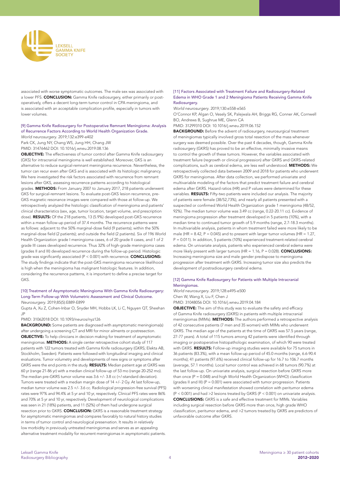

associated with worse symptomatic outcomes. The male sex was associated with a lower PFS. CONCLUSION: Gamma Knife radiosurgery, either primarily or postoperatively, offers a decent long-term tumor control in CPA meningioma, and is associated with an acceptable complication profile, especially in tumors with lower volumes.

# [9] Gamma Knife Radiosurgery for Postoperative Remnant Meningioma: Analysis of Recurrence Factors According to World Health Organization Grade.

*World neurosurgery*. 2019;132:e399-e402 Park CK, Jung NY, Chang WS, Jung HH, Chang JW

PMID: 31476462 DOI: 10.1016/j.wneu.2019.08.136

OBJECTIVE: The effectiveness of tumor control after Gamma Knife radiosurgery (GKS) for intracranial meningioma is well established. Moreover, GKS is an alternative to reduce surgical-remnant meningioma recurrence. Nevertheless, the tumor can recur even after GKS and is associated with its histologic malignancy. We here investigated the risk factors associated with recurrence from remnant lesions after GKS, assessing recurrence patterns according to histological grades. METHODS: From January 2007 to January 2017, 218 patients underwent GKS for surgical-remnant lesions. To evaluate post-GKS lesion recurrence, pre-GKS magnetic resonance images were compared with those at follow-up. We retrospectively analyzed the histologic classification of meningioma and patients' clinical characteristics (sex, age, tumor location, target volume, and prescription dose). RESULTS: Of the 218 patients, 13 (5.9%) developed post-GKS recurrence within a mean follow-up period of 37.4 months. The recurrence patterns were as follows: adjacent to the 50% marginal-dose field (9 patients); within the 50% marginal-dose field (2 patients); and outside the field (2 patients). Six of 196 World Health Organization grade I meningioma cases, 6 of 20 grade II cases, and 1 of 2 grade III cases developed recurrence. Thus 32% of high-grade meningioma cases (grades II and III) developed recurrence during the follow-up period. Histologic grade was significantly associated (P < 0.001) with recurrence. **CONCLUSIONS:** The study findings indicate that the post-GKS meningioma recurrence likelihood is high when the meningioma has malignant histologic features. In addition, considering the recurrence patterns, it is important to define a precise target for GKS.

#### [10] Treatment of Asymptomatic Meningioma With Gamma Knife Radiosurgery: Long-Term Follow-up With Volumetric Assessment and Clinical Outcome. *Neurosurgery*. 2019;85(5):E889-E899

Gupta A, Xu Z, Cohen-Inbar O, Snyder MH, Hobbs LK, Li C, Nguyen QT, Sheehan JP

PMID: 31062018 DOI: 10.1093/neuros/nyz126

**BACKGROUND:** Some patients are diagnosed with asymptomatic meningioma(s) after undergoing a screening CT and MRI for minor ailments or postresection. OBJECTIVE: To help clinicians in decision making for treatment of asymptomatic meningiomas. METHODS: A single center retrospective cohort study of 117 patients with 122 tumors treated with Gamma Knife radiosurgery (GKRS; Elekta AB, Stockholm, Sweden). Patients were followed with longitudinal imaging and clinical evaluations. Tumor volumetry and developments of new signs or symptoms after GKRS were the end points in the study. RESULTS: Median patient age at GKRS was 60 yr (range 21-86 yr) with a median clinical follow-up of 53 mo (range 20-252 mo). The median pre-GKRS tumor volume was 3.6 +/- 3.8 cc (+/-standard deviation). Tumors were treated with a median margin dose of 14 +/- 2 Gy. At last follow-up, median tumor volume was 2.5 +/- 3.6 cc. Radiological progression-free survival (PFS) rates were 97% and 94.4% at 5 yr and 10 yr, respectively. Clinical PFS rates were 86% and 70% at 5 yr and 10 yr, respectively. Development of neurological complications was seen in 21 (18%) patients, and 11 (52%) of them had undergone surgical resection prior to GKRS. CONCLUSION: GKRS is a reasonable treatment strategy for asymptomatic meningiomas and compares favorably to natural history studies in terms of tumor control and neurological preservation. It results in relatively low morbidity in previously untreated meningiomas and serves as an appealing alternative treatment modality for recurrent meningiomas in asymptomatic patients.

#### [11] Factors Associated with Treatment Failure and Radiosurgery-Related Edema in WHO Grade 1 and 2 Meningioma Patients Receiving Gamma Knife Radiosurgery.

*World neurosurgery*. 2019;130:e558-e565

O'Connor KP, Algan O, Vesely SK, Palejwala AH, Briggs RG, Conner AK, Cornwell BO, Andrews B, Sughrue ME, Glenn CA

PMID: 31299310 DOI: 10.1016/j.wneu.2019.06.152

BACKGROUND: Before the advent of radiosurgery, neurosurgical treatment of meningiomas typically involved gross total resection of the mass whenever surgery was deemed possible. Over the past 4 decades, though, Gamma Knife radiosurgery (GKRS) has proved to be an effective, minimally invasive means to control the growth of these tumors. However, the variables associated with treatment failure (regrowth or clinical progression) after GKRS and GKRS-related complications, such as cerebral edema, are less well understood. METHODS: We retrospectively collected data between 2009 and 2018 for patients who underwent GKRS for meningiomas. After data collection, we performed univariate and multivariable modeling of the factors that predict treatment failure and cerebral edema after GKRS. Hazard ratios (HR) and P values were determined for these variables. **RESULTS:** Fifty-two patients were included our analysis. The majority of patients were female (38/52,73%), and nearly all patients presented with a suspected or confirmed World Health Organization grade 1 meningioma (48/52, 92%). The median tumor volume was 3.49 cc (range, 0.22-20.11 cc). Evidence of meningioma progression after treatment developed in 5 patients (10%), with a median time to continued tumor growth of 5.9 months (range, 2.7-18.3 months). In multivariable analysis, patients in whom treatment failed were more likely to be male (HR =  $8.42$ , P =  $0.045$ ) and to present with larger tumor volumes (HR =  $1.27$ , P = 0.011). In addition, 5 patients (10%) experienced treatment-related cerebral edema. On univariate analysis, patients who experienced cerebral edema were more likely present with larger tumors (HR = 1.16, P = 0.028). **CONCLUSIONS:** Increasing meningioma size and male gender predispose to meningioma progression after treatment with GKRS. Increasing tumor size also predicts the development of postradiosurgery cerebral edema.

#### [12] Gamma Knife Radiosurgery for Patients with Multiple Intracranial Meningiomas.

#### *World neurosurgery*. 2019;128:e495-e500 Chen W, Wang X, Liu F, Chen J

PMID: 31048056 DOI: 10.1016/j.wneu.2019.04.184

OBJECTIVE: The aim of this study was to evaluate the safety and efficacy of Gamma Knife radiosurgery (GKRS) in patients with multiple intracranial meningiomas (MIMs). METHODS: The authors performed a retrospective analysis of 42 consecutive patients (7 men and 35 women) with MIMs who underwent GKRS. The median age of the patients at the time of GKRS was 57.5 years (range, 27-77 years). A total of 115 tumors among 42 patients were identified through imaging or postoperative histopathologic examination, of which 90 were treated with GKRS. RESULTS: Follow-up imaging studies were available for 75 tumors in 36 patients (83.3%), with a mean follow-up period of 45.0 months (range, 6.6-90.4 months); 41 patients (97.6%) received clinical follow-up for 16.7 to 106.7 months (average, 57.1 months). Local tumor control was achieved in 68 tumors (90.7%) at the last follow-up. On univariate analysis, surgical resection before GKRS more than once (P = 0.048) and high World Health Organization (WHO) classification (grades II and III) ( $P = 0.001$ ) were associated with tumor progression. Patients with worsening clinical manifestation showed correlation with peritumor edema  $(P < 0.001)$  and had >2 lesions treated by GKRS (P < 0.001) on univariate analysis. CONCLUSIONS: GKRS is a safe and effective treatment for MIMs. Variables including surgical resection before GKRS more than once, high grade WHO classification, peritumor edema, and >2 tumors treated by GKRS are predictors of unfavorable outcome after GKRS.

2012–2020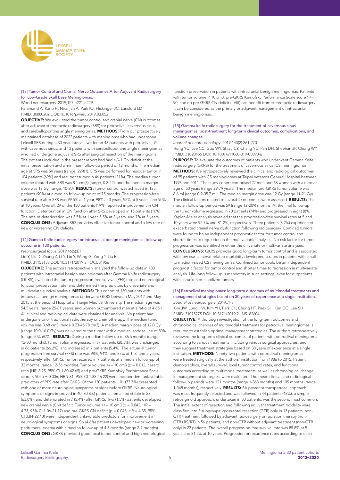

# [13] Tumor Control and Cranial Nerve Outcomes After Adjuvant Radiosurgery for Low-Grade Skull Base Meningiomas.

World neurosurgery. 2019;127:e221-e229

Faramand A, Kano H, Niranjan A, Park KJ, Flickinger JC, Lunsford LD PMID: 30880202 DOI: 10.1016/j.wneu.2019.03.052

OBJECTIVE: We evaluated the tumor control and cranial nerve (CN) outcomes after adjuvant stereotactic radiosurgery (SRS) for petroclival, cavernous sinus, and cerebellopontine angle meningiomas. METHODS: From our prospectively maintained database of 2022 patients with meningioma who had undergone Leksell SRS during a 30-year interval, we found 43 patients with petroclival, 94 with cavernous sinus, and 13 patients with cerebellopontine angle meningiomas who had undergone adjuvant SRS after surgical resection of the meningioma. The patients included in the present report had had >/=1 CN deficit at the initial presentation and a minimum follow-up period of 12 months. The median age at SRS was 54 years (range, 22-81). SRS was performed for residual tumor in 104 patients (69%) and recurrent tumor in 46 patients (31%). The median tumor volume treated with SRS was 8.1 cm(3) (range, 0.3-42), and the median margin dose was 13 Gy (range, 10-20). RESULTS: Tumor control was achieved in 135 patients (90%) at a median follow-up point of 75 months. The progression-free survival rate after SRS was 99.5% at 1 year, 98% at 3 years, 95% at 5 years, and 90% at 10 years. Overall, 29 of the 150 patients (19%) reported improvement in CN function. Deterioration in CN function after SRS developed in 15 patients (10%). The rate of deterioration was 3.5% at 1 year, 5.5% at 3 years, and 7% at 5 years. CONCLUSIONS: Adjuvant SRS provides effective tumor control and a low rate of new or worsening CN deficits.

# [14] Gamma Knife radiosurgery for intracranial benign meningiomas: follow-up outcome in 130 patients.

*Neurosurgical focus*. 2019;46(6):E7

Ge Y, Liu D, Zhang Z, Li Y, Lin Y, Wang G, Zong Y, Liu E PMID: 31153153 DOI: 10.3171/2019.3.FOCUS1956

OBJECTIVE: The authors retrospectively analyzed the follow-up data in 130 patients with intracranial benign meningiomas after Gamma Knife radiosurgery (GKRS), evaluated the tumor progression-free survival (PFS) rate and neurological function preservation rate, and determined the predictors by univariate and multivariate survival analysis. METHODS: This cohort of 130 patients with intracranial benign meningiomas underwent GKRS between May 2012 and May 2015 at the Second Hospital of Tianjin Medical University. The median age was 54.5 years (range 25-81 years), and women outnumbered men at a ratio of 4.65:1. All clinical and radiological data were obtained for analysis. No patient had undergone prior traditional radiotherapy or chemotherapy. The median tumor volume was 3.68 cm3 (range 0.23-45.78 cm3). A median margin dose of 12.0 Gy (range 10.0-16.0 Gy) was delivered to the tumor with a median isodose line of 50% (range 50%-60%). RESULTS: During a median follow-up of 36.5 months (range 12-80 months), tumor volume regressed in 37 patients (28.5%), was unchanged in 86 patients (66.2%), and increased in 7 patients (5.4%). The actuarial tumor progression-free survival (PFS) rate was 98%, 94%, and 87% at 1, 3, and 5 years, respectively, after GKRS. Tumor recurred in 7 patients at a median follow-up of 32 months (range 12-56 months). Tumor volume  $\ge$ /= 10 cm3 (p = 0.012, hazard ratio [HR] 8.25, 95% CI 1.60-42.65) and pre-GKRS Karnofsky Performance Scale score  $\leq$  90 (p = 0.006, HR 9.31, 95% CI 1.88-46.22) were independent unfavorable predictors of PFS rate after GKRS. Of the 130 patients, 101 (77.7%) presented with one or more neurological symptoms or signs before GKRS. Neurological symptoms or signs improved in 40 (30.8%) patients, remained stable in 83 (63.8%), and deteriorated in 7 (5.4%) after GKRS. Two (1.5%) patients developed new cranial nerve (CN) deficit. Tumor volume  $\ge$ /= 10 cm3 (p = 0.042, HR = 4.73, 95% CI 1.06-21.17) and pre-GKRS CN deficit (p = 0.045, HR = 4.35, 95% CI 0.84-22.48) were independent unfavorable predictors for improvement in neurological symptoms or signs. Six (4.6%) patients developed new or worsening peritumoral edema with a median follow-up of 4.5 months (range 2-7 months). CONCLUSIONS: GKRS provided good local tumor control and high neurological

function preservation in patients with intracranial benign meningiomas. Patients with tumor volume < 10 cm3, pre-GKRS Karnofsky Performance Scale score >/= 90, and no pre-GKRS CN deficit (I-VIII) can benefit from stereotactic radiosurgery. It can be considered as the primary or adjuvant management of intracranial benign meningiomas.

#### [15] Gamma knife radiosurgery for the treatment of cavernous sinus meningiomas: post-treatment long-term clinical outcomes, complications, and volume changes.

*Journal of neuro-oncology*. 2019;143(2):261-270

Hung YC, Lee CC, Guo WY, Shiau CY, Chang YC, Pan DH, Sheehan JP, Chung WY PMID: 31020456 DOI: 10.1007/s11060-019-03090-6

PURPOSE: To evaluate the outcomes of patients who underwent Gamma Knife radiosurgery (GKRS) for the treatment of cavernous sinus (CS) meningiomas. METHODS: We retrospectively reviewed the clinical and radiological outcomes of 95 patients with CS meningiomas at Taipei Veterans General Hospital between 1993 and 2011. The study cohort comprised 27 men and 68 women with a median age of 50 years (range 29-79 years). The median pre-GKRS tumor volume was 6.6 ml (range 0.9-35.7 ml). The median margin dose was 12 Gy (range 11-21 Gy). The clinical factors related to favorable outcomes were assessed. RESULTS: The median follow-up period was 59 (range 12-209) months. At the final follow-up, the tumor volume regressed in 70 patients (74%) and progressed in eight (8%). Kaplan-Meier analysis revealed that the progression-free survival rates at 5 and 10 years were 92.7% and 81.2%, respectively. Three patients (3.2%) experienced exacerbated cranial nerve dysfunction following radiosurgery. Confined tumors were found to be an independent prognostic factor for tumor control and shorter times to regression in the multivariable analyses. No risk factor for tumor progression was identified in either the univariate or multivariate analyses. CONCLUSIONS: GKRS provides good long-term tumor control and is associated with low cranial nerve-related morbidity development rates in patients with smallto medium-sized CS meningiomas. Confined tumor could be an independent prognostic factor for tumor control and shorter times to regression in multivariate analysis. Life-long follow-up is mandatory in such settings, even for outpatients with shrunken or stabilized tumors.

#### [16] Petroclival meningiomas: long-term outcomes of multimodal treatments and management strategies based on 30 years of experience at a single institution. *Journal of neurosurgery*. 2019;:1-8

Kim JW, Jung HW, Kim YH, Park CK, Chung HT, Paek SH, Kim DG, Lee SH PMID: 31075775 DOI: 10.3171/2019.2.JNS182604

OBJECTIVE: A thorough investigation of the long-term outcomes and chronological changes of multimodal treatments for petroclival meningiomas is required to establish optimal management strategies. The authors retrospectively reviewed the long-term clinical outcomes of patients with petroclival meningioma according to various treatments, including various surgical approaches, and they suggest treatment strategies based on 30 years of experience at a single institution. METHODS: Ninety-two patients with petroclival meningiomas were treated surgically at the authors' institution from 1986 to 2015. Patient demographics, overall survival, local tumor control rates, and functional outcomes according to multimodal treatments, as well as chronological change in management strategies, were evaluated. The mean clinical and radiological follow-up periods were 121 months (range 1-368 months) and 105 months (range 1-348 months), respectively. RESULTS: SA posterior transpetrosal approach was most frequently selected and was followed in 44 patients (48%); a simple retrosigmoid approach, undertaken in 30 patients, was the second most common. The initial extent of resection and following adjuvant treatment modality were classified into 3 subgroups: gross-total resection (GTR) only in 13 patients; non-GTR treatment followed by adjuvant radiosurgery or radiation therapy (non-GTR+RS/RT) in 56 patients; and non-GTR without adjuvant treatment (non-GTR only) in 23 patients. The overall progression-free survival rate was 85.8% at 5 years and 81.2% at 10 years. Progression or recurrence rates according to each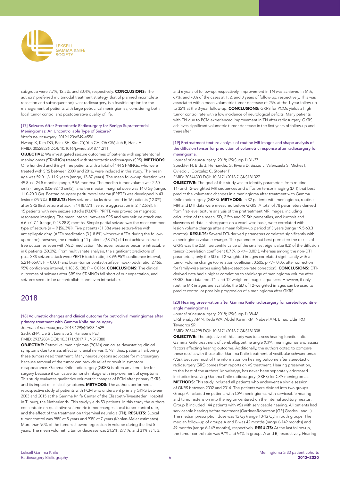

subgroup were 7.7%, 12.5%, and 30.4%, respectively. CONCLUSIONS: The authors' preferred multimodal treatment strategy, that of planned incomplete resection and subsequent adjuvant radiosurgery, is a feasible option for the management of patients with large petroclival meningiomas, considering both local tumor control and postoperative quality of life.

# [17] Seizures After Stereotactic Radiosurgery for Benign Supratentorial Meningiomas: An Uncontrollable Type of Seizure?

*World neurosurgery*. 2019;123:e549-e556

Hwang K, Kim DG, Paek SH, Kim CY, Yun CH, Oh CW, Juh R, Han JH PMID: 30528526 DOI: 10.1016/j.wneu.2018.11.211

OBJECTIVE: We investigated seizure outcomes of patients with supratentorial meningiomas (ST-MNGs) treated with stereotactic radiosurgery (SRS). METHODS: One hundred and thirty-three patients with a total of 144 ST-MNGs, who were treated with SRS between 2009 and 2016, were included in this study. The mean age was 59.0 +/- 11.9 years (range, 13-87 years). The mean follow-up duration was 49.8 +/- 24.5 months (range, 9-96 months). The median tumor volume was 2.60 cm(3) (range, 0.06-32.40 cm(3)), and the median marginal dose was 14.0 Gy (range, 11.0-20.0 Gy). Postradiosurgery peritumoral edema (PRPTE) was developed in 43 lesions (29.9%). RESULTS: New seizure attacks developed in 16 patients (12.0%) after SRS (first seizure attack in 14 [87.5%]; seizure aggravation in 2 [12.5%]). In 15 patients with new seizure attacks (93.8%), PRPTE was proved on magnetic resonance imaging. The mean interval between SRS and new seizure attack was 6.6 +/- 7.1 (range, 0.23-28.8) months. Simple partial seizure was the most common type of seizure ( $n = 9$  [56.3%]). Five patients (31.3%) were seizure-free with antiepileptic drug (AED) medication (3 [18.8%] withdrew AEDs during the followup period); however, the remaining 11 patients (68.7%) did not achieve seizurefree outcomes even with AED medication. Moreover, seizures became intractable in 8 patients (50.0%). From multivariate analysis, the significant predictors of post-SRS seizure attack were PRPTE (odds ratio, 53.99; 95% confidence interval,  $5.214-559.1$ ; P = 0.001) and brain-tumor contact-surface index (odds ratio, 2.466; 95% confidence interval, 1.183-5.138;  $P = 0.016$ ). **CONCLUSIONS:** The clinical outcomes of seizures after SRS for ST-MNGs fall short of our expectation, and seizures seem to be uncontrollable and even intractable.

# 2018

[18] Volumetric changes and clinical outcome for petroclival meningiomas after primary treatment with Gamma Knife radiosurgery.

*Journal of neurosurgery*. 2018;129(6):1623-1629 Sadik ZHA, Lie ST, Leenstra S, Hanssens PEJ PMID: 29372884 DOI: 10.3171/2017.7.JNS17380

OBJECTIVE: Petroclival meningiomas (PCMs) can cause devastating clinical symptoms due to mass effect on cranial nerves (CNs); thus, patients harboring these tumors need treatment. Many neurosurgeons advocate for microsurgery because removal of the tumor can provide relief or result in symptom disappearance. Gamma Knife radiosurgery (GKRS) is often an alternative for surgery because it can cause tumor shrinkage with improvement of symptoms. This study evaluates qualitative volumetric changes of PCM after primary GKRS and its impact on clinical symptoms. **METHODS:** The authors performed a retrospective study of patients with PCM who underwent primary GKRS between 2003 and 2015 at the Gamma Knife Center of the Elisabeth-Tweesteden Hospital in Tilburg, the Netherlands. This study yields 53 patients. In this study the authors concentrate on qualitative volumetric tumor changes, local tumor control rate, and the effect of the treatment on trigeminal neuralgia (TN). RESULTS: SLocal tumor control was 98% at 5 years and 93% at 7 years (Kaplan-Meier estimates). More than 90% of the tumors showed regression in volume during the first 5 years. The mean volumetric tumor decrease was 21.2%, 27.1%, and 31% at 1, 3,

and 6 years of follow-up, respectively. Improvement in TN was achieved in 61%, 67%, and 70% of the cases at 1, 2, and 3 years of follow-up, respectively. This was associated with a mean volumetric tumor decrease of 25% at the 1-year follow-up to 32% at the 3-year follow-up. **CONCLUSIONS:** GKRS for PCMs yields a high tumor control rate with a low incidence of neurological deficits. Many patients with TN due to PCM experienced improvement in TN after radiosurgery. GKRS achieves significant volumetric tumor decrease in the first years of follow-up and thereafter.

## [19] Pretreatment texture analysis of routine MR images and shape analysis of the diffusion tensor for prediction of volumetric response after radiosurgery for meningioma.

*Journal of neurosurgery*. 2018;129(Suppl1):31-37 Speckter H, Bido J, Hernandez G, Rivera D, Suazo L, Valenzuela S, Miches I, Oviedo J, Gonzalez C, Stoeter P PMID: 30544300 DOI: 10.3171/2018.7.GKS181327

**OBJECTIVE:** The goal of this study was to identify parameters from routine T1- and T2-weighted MR sequences and diffusion tensor imaging (DTI) that best predict the volumetric changes in a meningioma after treatment with Gamma Knife radiosurgery (GKRS). METHODS: In 32 patients with meningioma, routine MRI and DTI data were measured before GKRS. A total of 78 parameters derived from first-level texture analysis of the pretreatment MR images, including calculation of the mean, SD, 2.5th and 97.5th percentiles, and kurtosis and skewness of data in histograms on a voxel-wise basis, were correlated with lesion volume change after a mean follow-up period of 3 years (range 19.5-63.3 months). **RESULTS:** Several DTI-derived parameters correlated significantly with a meningioma volume change. The parameter that best predicted the results of GKRS was the 2.5th percentile value of the smallest eigenvalue (L3) of the diffusion tensor (correlation coefficient 0.739,  $p$  </= 0.001), whereas among the non-DTI parameters, only the SD of T2-weighted images correlated significantly with a tumor volume change (correlation coefficient 0.505, p </= 0.05, after correction for family-wise errors using false-detection-rate correction). CONCLUSIONS: DTIderived data had a higher correlation to shrinkage of meningioma volume after GKRS than data from T1- and T2-weighted image sequences. However, if only routine MR images are available, the SD of T2-weighted images can be used to predict control or possible progression of a meningioma after GKRS.

#### [20] Hearing preservation after Gamma Knife radiosurgery for cerebellopontine angle meningiomas.

*Journal of neurosurgery*. 2018;129(Suppl1):38-46

El-Shehaby AMN, Reda WA, Abdel Karim KM, Nabeel AM, Emad Eldin RM, Tawadros SR

PMID: 30544298 DOI: 10.3171/2018.7.GKS181308

**OBJECTIVE:** The objective of this study was to assess hearing function after Gamma Knife treatment of cerebellopontine angle (CPA) meningiomas and assess factors affecting hearing outcome. Additionally, the authors opted to compare these results with those after Gamma Knife treatment of vestibular schwannomas (VSs), because most of the information on hearing outcome after stereotactic radiosurgery (SRS) comes from reports on VS treatment. Hearing preservation, to the best of the authors' knowledge, has never been separately addressed in studies involving Gamma Knife radiosurgery (GKRS) for CPA meningiomas. METHODS: This study included all patients who underwent a single session of GKRS between 2002 and 2014. The patients were divided into two groups. Group A included 66 patients with CPA meningiomas with serviceable hearing and tumor extension into the region centered on the internal auditory meatus. Group B included 144 patients with VSs with serviceable hearing. All patients had serviceable hearing before treatment (Gardner-Robertson [GR] Grades I and II). The median prescription dose was 12 Gy (range 10-12 Gy) in both groups. The median follow-up of groups A and B was 42 months (range 6-149 months) and 49 months (range 6-149 months), respectively. RESULTS: At the last follow-up, the tumor control rate was 97% and 94% in groups A and B, respectively. Hearing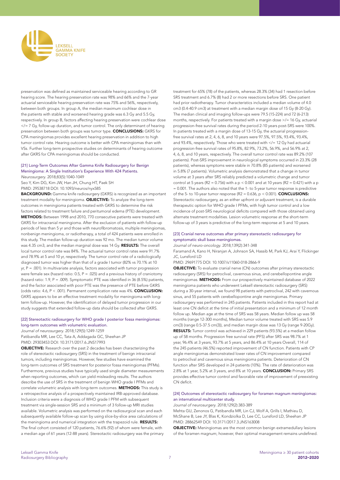

preservation was defined as maintained serviceable hearing according to GR hearing score. The hearing preservation rate was 98% and 66% and the 7-year actuarial serviceable hearing preservation rate was 75% and 56%, respectively, between both groups. In group A, the median maximum cochlear dose in the patients with stable and worsened hearing grade was 6.3 Gy and 5.5 Gy, respectively. In group B, factors affecting hearing preservation were cochlear dose  $\langle$  = 7 Gy, follow-up duration, and tumor control. The only determinant of hearing preservation between both groups was tumor type. CONCLUSIONS: GKRS for CPA meningiomas provides excellent hearing preservation in addition to high tumor control rate. Hearing outcome is better with CPA meningiomas than with VSs. Further long-term prospective studies on determinants of hearing outcome after GKRS for CPA meningiomas should be conducted.

# [21] Long-Term Outcomes After Gamma Knife Radiosurgery for Benign Meningioma: A Single Institution's Experience With 424 Patients.

*Neurosurgery*. 2018;83(5):1040-1049

Seo Y, Kim DG, Kim JW, Han JH, Chung HT, Paek SH PMID: 29538718 DOI: 10.1093/neuros/nyx585

**BACKGROUND:** Gamma knife radiosurgery (GKRS) is recognized as an important treatment modality for meningioma. OBJECTIVE: To analyze the long-term outcomes in meningioma patients treated with GKRS to determine the risk factors related to treatment failure and peritumoral edema (PTE) development. METHODS: Between 1998 and 2010, 770 consecutive patients were treated with GKRS for intracranial meningioma. After the exclusion of patients with follow-up periods of less than 5 yr and those with neurofibromatosis, multiple meningiomas, nonbenign meningioma, or radiotherapy, a total of 424 patients were enrolled in this study. The median follow-up duration was 92 mo. The median tumor volume was 4.35 cm3, and the median marginal dose was 14 Gy. RESULTS: The overall local tumor control rate was 84%. The actuarial tumor control rates were 91.7% and 78.9% at 5 and 10 yr, respectively. The tumor control rate of a radiologically diagnosed tumor was higher than that of a grade I tumor (82% vs 70.1% at 10  $yr, P = .001$ ). In multivariate analysis, factors associated with tumor progression were female sex (hazard ratio: 0.5, P = .025) and a previous history of craniotomy (hazard ratio: 1.9,  $P = .009$ ). Symptomatic PTE was identified in 36 (8.5%) patients, and the factor associated with poor PTE was the presence of PTE before GKRS (odds ratio: 4.6, P < .001). Permanent complication rate was 4%. CONCLUSION: GKRS appears to be an effective treatment modality for meningioma with longterm follow-up. However, the identification of delayed tumor progression in our study suggests that extended follow-up data should be collected after GKRS.

## [22] Stereotactic radiosurgery for WHO grade I posterior fossa meningiomas: long-term outcomes with volumetric evaluation.

*Journal of neurosurgery*. 2018;129(5):1249-1259

Patibandla MR, Lee CC, Tata A, Addagada GC, Sheehan JP

PMID: 29303453 DOI: 10.3171/2017.6.JNS17993

OBJECTIVE: Research over the past 2 decades has been characterizing the role of stereotactic radiosurgery (SRS) in the treatment of benign intracranial tumors, including meningiomas. However, few studies have examined the long-term outcomes of SRS treatment for posterior fossa meningiomas (PFMs). Furthermore, previous studies have typically used single diameter measurements when reporting outcomes, which can yield misleading results. The authors describe the use of SRS in the treatment of benign WHO grade I PFMs and correlate volumetric analysis with long-term outcomes. METHODS: This study is a retrospective analysis of a prospectively maintained IRB-approved database. Inclusion criteria were a diagnosis of WHO grade I PFM with subsequent treatment via single-session SRS and a minimum of 3 follow-up MRI studies available. Volumetric analysis was performed on the radiosurgical scan and each subsequently available follow-up scan by using slice-by-slice area calculations of the meningioma and numerical integration with the trapezoid rule. RESULTS: The final cohort consisted of 120 patients, 76.6% (92) of whom were female, with a median age of 61 years (12-88 years). Stereotactic radiosurgery was the primary

treatment for 65% (78) of the patients, whereas 28.3% (34) had 1 resection before SRS treatment and 6.7% (8) had 2 or more resections before SRS. One patient had prior radiotherapy. Tumor characteristics included a median volume of 4.0 cm3 (0.4-40.9 cm3) at treatment with a median margin dose of 15 Gy (8-20 Gy). The median clinical and imaging follow-ups were 79.5 (15-224) and 72 (6-213) months, respectively. For patients treated with a margin dose >/= 16 Gy, actuarial progression-free survival rates during the period 2-10 years post-SRS were 100%. In patients treated with a margin dose of 13-15 Gy, the actuarial progressionfree survival rates at 2, 4, 6, 8, and 10 years were 97.5%, 97.5%, 93.4%, 93.4%, and 93.4%, respectively. Those who were treated with  $\langle 12 \rangle$  Gy had actuarial progression-free survival rates of 95.8%, 82.9%, 73.2%, 56.9%, and 56.9% at 2, 4, 6, 8, and 10 years, respectively. The overall tumor control rate was 89.2% (107 patients). Post-SRS improvement in neurological symptoms occurred in 23.3% (28 patients), whereas symptoms were stable in 70.8% (85 patients) and worsened in 5.8% (7 patients). Volumetric analysis demonstrated that a change in tumor volume at 3 years after SRS reliably predicted a volumetric change and tumor control at 5 years (R2 = 0.756) with a  $p < 0.001$  and at 10 years (R2 = 0.421) with a  $p$ = 0.001. The authors also noted that the 1- to 5-year tumor response is predictive of the 5- to 10-year tumor response  $(R2 = 0.636, p < 0.001)$ . **CONCLUSIONS:** Stereotactic radiosurgery, as an either upfront or adjuvant treatment, is a durable therapeutic option for WHO grade I PFMs, with high tumor control and a low incidence of post-SRS neurological deficits compared with those obtained using alternate treatment modalities. Lesion volumetric response at the short-term follow-up of 3 years is predictive of the long-term response at 5 and 10 years.

## [23] Cranial nerve outcomes after primary stereotactic radiosurgery for symptomatic skull base meningiomas.

*Journal of neuro-oncology*. 2018;139(2):341-348

Faramand A, Kano H, Niranjan A, Johnson SA, Hassib M, Park KJ, Arai Y, Flickinger JC, Lunsford LD

## PMID: 29691775 DOI: 10.1007/s11060-018-2866-9

OBJECTIVE: To evaluate cranial nerve (CN) outcomes after primary stereotactic radiosurgery (SRS) for petroclival, cavernous sinus, and cerebellopontine angle meningiomas. METHODS: From our prospectively maintained database of 2022 meningioma patients who underwent Leksell stereotactic radiosurgery (SRS) during a 30-year interval, we found 98 patients with petroclival, 242 with cavernous sinus, and 55 patients with cerebellopontine angle meningiomas. Primary radiosurgery was performed in 245 patients. Patients included in this report had at least one CN deficit at the time of initial presentation and a minimum of 12 month follow up. Median age at the time of SRS was 58 years. Median follow up was 58 months (range 12-300 months), Median tumor volume treated with SRS was 5.9 cm(3) (range 0.5-37.5 cm(3)), and median margin dose was 13 Gy (range 9-20Gy). RESULTS: Tumor control was achieved in 229 patients (93.5%) at a median follow up of 58 months. Progression free survival rate (PFS) after SRS was 98.7% at 1 year, 96.4% at 3 years, 93.7% at 5 years, and 86.4% at 10 years Overall, 114 of the 245 patients (46.5%) reported improvement of CN function. Patients with CP angle meningiomas demonstrated lower rates of CN improvement compared to petroclival and cavernous sinus meningioma patients. Deterioration of CN function after SRS developed in 24 patients (10%). The rate of deterioration was 2.8% at 1 year, 5.2% at 3 years, and 8% at 10 years. CONCLUSION: Primary SRS provides effective tumor control and favorable rate of improvement of preexisting CN deficit.

#### [24] Outcomes of stereotactic radiosurgery for foramen magnum meningiomas: an international multicenter study.

*Journal of neurosurgery*. 2018;129(2):383-389

Mehta GU, Zenonos G, Patibandla MR, Lin CJ, Wolf A, Grills I, Mathieu D, McShane B, Lee JY, Blas K, Kondziolka D, Lee CC, Lunsford LD, Sheehan JP PMID: 28862549 DOI: 10.3171/2017.3.JNS163008

OBJECTIVE: Meningiomas are the most common benign extramedullary lesions of the foramen magnum; however, their optimal management remains undefined.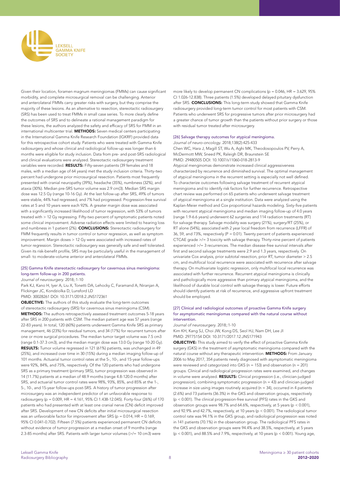

Given their location, foramen magnum meningiomas (FMMs) can cause significant morbidity, and complete microsurgical removal can be challenging. Anterior and anterolateral FMMs carry greater risks with surgery, but they comprise the majority of these lesions. As an alternative to resection, stereotactic radiosurgery (SRS) has been used to treat FMMs in small case series. To more clearly define the outcomes of SRS and to delineate a rational management paradigm for these lesions, the authors analyzed the safety and efficacy of SRS for FMM in an international multicenter trial. METHODS: Seven medical centers participating in the International Gamma Knife Research Foundation (IGKRF) provided data for this retrospective cohort study. Patients who were treated with Gamma Knife radiosurgery and whose clinical and radiological follow-up was longer than 6 months were eligible for study inclusion. Data from pre- and post-SRS radiological and clinical evaluations were analyzed. Stereotactic radiosurgery treatment variables were recorded. RESULTS: Fifty-seven patients (39 females and 18 males, with a median age of 64 years) met the study inclusion criteria. Thirty-two percent had undergone prior microsurgical resection. Patients most frequently presented with cranial neuropathy (39%), headache (35%), numbness (32%), and ataxia (30%). Median pre-SRS tumor volume was 2.9 cm(3). Median SRS margin dose was 12.5 Gy (range 10-16 Gy). At the last follow-up after SRS, 49% of tumors were stable, 44% had regressed, and 7% had progressed. Progression-free survival rates at 5 and 10 years were each 92%. A greater margin dose was associated with a significantly increased likelihood of tumor regression, with 53% of tumors treated with > 12 Gy regressing. Fifty-two percent of symptomatic patients noted some clinical improvement. Adverse radiation effects were limited to hearing loss and numbness in 1 patient (2%). **CONCLUSIONS:** Stereotactic radiosurgery for FMM frequently results in tumor control or tumor regression, as well as symptom improvement. Margin doses > 12 Gy were associated with increased rates of tumor regression. Stereotactic radiosurgery was generally safe and well tolerated. Given its risk-benefit profile, SRS may be particularly useful in the management of small- to moderate-volume anterior and anterolateral FMMs.

#### [25] Gamma Knife stereotactic radiosurgery for cavernous sinus meningioma: long-term follow-up in 200 patients.

*Journal of neurosurgery*. 2018;:1-10

Park KJ, Kano H, Iyer A, Liu X, Tonetti DA, Lehocky C, Faramand A, Niranjan A, Flickinger JC, Kondziolka D, Lunsford LD

PMID: 30028261 DOI: 10.3171/2018.2.JNS172361

OBJECTIVE: The authors of this study evaluate the long-term outcomes of stereotactic radiosurgery (SRS) for cavernous sinus meningioma (CSM).

METHODS: The authors retrospectively assessed treatment outcomes 5-18 years after SRS in 200 patients with CSM. The median patient age was 57 years (range 22-83 years). In total, 120 (60%) patients underwent Gamma Knife SRS as primary management, 46 (23%) for residual tumors, and 34 (17%) for recurrent tumors after one or more surgical procedures. The median tumor target volume was 7.5 cm3 (range 0.1-37.3 cm3), and the median margin dose was 13.0 Gy (range 10-20 Gy). RESULTS: Tumor volume regressed in 121 (61%) patients, was unchanged in 49 (25%), and increased over time in 30 (15%) during a median imaging follow-up of 101 months. Actuarial tumor control rates at the 5-, 10-, and 15-year follow-ups were 92%, 84%, and 75%, respectively. Of the 120 patients who had undergone SRS as a primary treatment (primary SRS), tumor progression was observed in 14 (11.7%) patients at a median of 48.9 months (range 4.8-120.0 months) after SRS, and actuarial tumor control rates were 98%, 93%, 85%, and 85% at the 1-, 5-, 10-, and 15-year follow-ups post-SRS. A history of tumor progression after microsurgery was an independent predictor of an unfavorable response to radiosurgery (p = 0.009, HR = 4.161, 95% CI 1.438-12.045). Forty-four (26%) of 170 patients who had presented with at least one cranial nerve (CN) deficit improved after SRS. Development of new CN deficits after initial microsurgical resection was an unfavorable factor for improvement after SRS ( $p = 0.014$ , HR = 0.169, 95% CI 0.041-0.702). Fifteen (7.5%) patients experienced permanent CN deficits without evidence of tumor progression at a median onset of 9 months (range 2.3-85 months) after SRS. Patients with larger tumor volumes (>/= 10 cm3) were

more likely to develop permanent CN complications ( $p = 0.046$ , HR = 3.629, 95% CI 1.026-12.838). Three patients (1.5%) developed delayed pituitary dysfunction after SRS. CONCLUSIONS: This long-term study showed that Gamma Knife radiosurgery provided long-term tumor control for most patients with CSM. Patients who underwent SRS for progressive tumors after prior microsurgery had a greater chance of tumor growth than the patients without prior surgery or those with residual tumor treated after microsurgery.

#### [26] Salvage therapy outcomes for atypical meningioma.

*Journal of neuro-oncology*. 2018;138(2):425-433 Chen WC, Hara J, Magill ST, Wu A, Aghi MK, Theodosopoulos PV, Perry A, McDermott MW, Sneed PK, Raleigh DR, Braunstein SE PMID: 29480505 DOI: 10.1007/s11060-018-2813-9

Atypical menginomas demonstrate increased clinical aggressiveness characterized by recurrence and diminished survival. The optimal management of atypical meningioma in the recurrent setting is especially not well defined. To characterize outcomes following salvage treatment of recurrent atypical meningioma and to identify risk factors for further recurrence. Retrospective chart review was performed on 65 patients who underwent salvage treatment of atypical meningioma at a single institution. Data were analyzed using the Kaplan-Meier method and Cox proportional hazards modeling. Sixty-five patients with recurrent atypical meningioma and median imaging follow-up of 4.0 years (range 1.9-6.6 years) underwent 62 surgeries and 114 radiation treatments (RT) for salvage therapy. Salvage modality was surgery (21%), surgery/RT (25%), or RT alone (54%), associated with 2 year local freedom from recurrence (LFFR) of 36, 59, and 73%, respectively (P = 0.01). Twenty percent of patients experienced CTCAE grade >/= 3 toxicity with salvage therapy. Thirty-nine percent of patients experienced >/= 3 recurrences. The median disease-free survival intervals after first and second salvage treatments were 2.9 and 1.3 years, respectively. On univariate Cox analysis, prior subtotal resection, prior RT, tumor diameter > 2.5 cm, and multifocal local recurrence were associated with recurrence after salvage therapy. On multivariate logistic regression, only multifocal local recurrence was associated with further recurrence. Recurrent atypical meningioma is clinically and pathologically more aggressive than primary atypical meningioma, and the likelihood of durable local control with salvage therapy is lower. Future efforts should identify patients at risk of recurrence, and aggressive upfront treatment should be employed.

#### [27] Clinical and radiological outcomes of proactive Gamma Knife surgery for asymptomatic meningiomas compared with the natural course without intervention.

*Journal of neurosurgery*. 2018;:1-10

Kim KH, Kang SJ, Choi JW, Kong DS, Seol HJ, Nam DH, Lee JI PMID: 29775154 DOI: 10.3171/2017.12.JNS171943

**OBJECTIVE:** This study aimed to verify the effect of proactive Gamma Knife surgery (GKS) in the treatment of asymptomatic meningioma compared with the natural course without any therapeutic intervention. **METHODS:** From January 2006 to May 2017, 354 patients newly diagnosed with asymptomatic meningioma were reviewed and categorized into GKS ( $n = 153$ ) and observation ( $n = 201$ ) groups. Clinical and radiological progression rates were examined, and changes in volume were analyzed. RESULTS: Clinical progression (i.e., clinician-judged progression), combining symptomatic progression (n = 43) and clinician-judged increase in size using images routinely acquired ( $n = 34$ ), occurred in 4 patients (2.6%) and 73 patients (36.3%) in the GKS and observation groups, respectively (p < 0.001). The clinical progression-free survival (PFS) rates in the GKS and observation groups were 98.7% and 64.6%, respectively, at 5 years (p < 0.001), and 92.9% and 42.7%, respectively, at 10 years (p < 0.001). The radiological tumor control rate was 94.1% in the GKS group, and radiological progression was noted in 141 patients (70.1%) in the observation group. The radiological PFS rates in the GKS and observation groups were 94.4% and 38.5%, respectively, at 5 years ( $p < 0.001$ ), and 88.5% and 7.9%, respectively, at 10 years ( $p < 0.001$ ). Young age,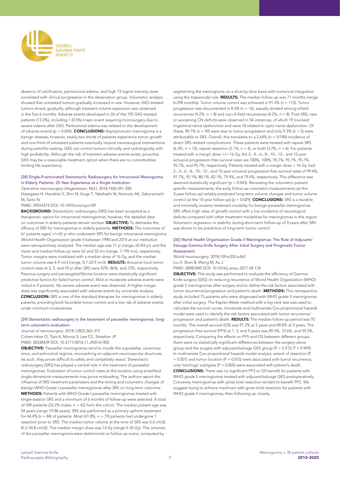

absence of calcification, peritumoral edema, and high T2 signal intensity were correlated with clinical progression in the observation group. Volumetric analysis showed that untreated tumors gradually increased in size. However, GKS-treated tumors shrank gradually, although transient volume expansion was observed in the first 6 months. Adverse events developed in 26 of the 195 GKS-treated patients (13.3%), including 1 (0.5%) major event requiring microsurgery due to severe edema after GKS. Peritumoral edema was related to the development of adverse events ( $p = 0.004$ ). **CONCLUSIONS:** Asymptomatic meningioma is a benign disease; however, nearly two-thirds of patients experience tumor growth and one-third of untreated patients eventually require neurosurgical interventions during watchful waiting. GKS can control tumors clinically and radiologically with high probability. Although the risk of transient adverse events exists, proactive GKS may be a reasonable treatment option when there are no comorbidities limiting life expectancy.

#### [28] Single-Fractionated Stereotactic Radiosurgery for Intracranial Meningioma in Elderly Patients: 25-Year Experience at a Single Institution.

*Operative neurosurgery (Hagerstown, Md.)*. 2018;14(4):341-350

Hasegawa H, Hanakita S, Shin M, Koga T, Takahashi W, Nomoto AK, Sakuramachi M, Saito N

PMID: 29554374 DOI: 10.1093/ons/opx109

**BACKGROUND:** Stereotactic radiosurgery (SRS) has been accepted as a therapeutic option for intracranial meningiomas; however, the detailed data on outcomes in elderly patients remain unclear. OBJECTIVE: To delineate the efficacy of SRS for meningiomas in elderly patients. METHODS: The outcomes of 67 patients aged >/=65 yr who underwent SRS for benign intracranial meningioma (World Health Organization grade I) between 1990 and 2014 at our institution were retrospectively analyzed. The median age was 71 yr (range, 65-83 yr), and the mean and median follow-up were 62 and 52 mo (range, 7-195 mo), respectively. Tumor margins were irradiated with a median dose of 16 Gy, and the median tumor volume was 4.9 cm3 (range, 0.7-22.9 cm3). RESULTS: Actuarial local tumor control rates at 3, 5, and 10 yr after SRS were 92%, 86%, and 72%, respectively. Previous surgery and parasagittal/falcine location were statistically significant predictive factors for failed tumor control. Mild or moderate adverse events were noted in 9 patients. No severe adverse event was observed. A higher margin dose was significantly associated with adverse events by univariate analysis. CONCLUSION: SRS is one of the standard therapies for meningiomas in elderly patients, providing both favorable tumor control and a low risk of adverse events under minimum invasiveness.

#### [29] Stereotactic radiosurgery in the treatment of parasellar meningiomas: longterm volumetric evaluation.

*Journal of neurosurgery*. 2018;128(2):362-372

Cohen-Inbar O, Tata A, Moosa S, Lee CC, Sheehan JP

PMID: 28338439 DOI: 10.3171/2016.11.JNS161402

OBJECTIVE: Parasellar meningiomas tend to invade the suprasellar, cavernous sinus, and petroclival regions, encroaching on adjacent neurovascular structures. As such, they prove difficult to safely and completely resect. Stereotactic radiosurgery (SRS) has played a central role in the treatment of parasellar meningiomas. Evaluation of tumor control rates at this location using simplified single-dimension measurements may prove misleading. The authors report the influence of SRS treatment parameters and the timing and volumetric changes of benign WHO Grade I parasellar meningiomas after SRS on long-term outcome. METHODS: Patients with WHO Grade I parasellar meningiomas treated with single-session SRS and a minimum of 6 months of follow-up were selected. A total of 189 patients (22.2% males,  $n = 42$ ) form the cohort. The median patient age was 54 years (range 19-88 years). SRS was performed as a primary upfront treatment for 44.4% ( $n = 84$ ) of patients. Most (41.8%,  $n = 79$ ) patients had undergone 1 resection prior to SRS. The median tumor volume at the time of SRS was 5.6 cm(3) (0.2-54.8 cm(3)). The median margin dose was 14 Gy (range 5-35 Gy). The volumes of the parasellar meningioma were determined on follow-up scans, computed by

segmenting the meningioma on a slice-by-slice basis with numerical integration using the trapezoidal rule. RESULTS: The median follow-up was 71 months (range 6-298 months). Tumor volume control was achieved in 91.5% (n = 173). Tumor progression was documented in 8.5% (n = 16), equally divided among infield recurrences (4.2%, n = 8) and out-of-field recurrences (4.2%, n = 8). Post-SRS, new or worsening CN deficits were observed in 54 instances, of which 19 involved trigeminal nerve dysfunction and were 18 related to optic nerve dysfunction. Of these,  $90.7\%$  (n = 49) were due to tumor progression and only 9.3% (n = 5) were attributable to SRS. Overall, this translates to a 2.64% (n = 5/189) incidence of direct SRS-related complications. These patients were treated with repeat SRS (6.3%,  $n = 12$ ), repeat resection (2.1%,  $n = 4$ ), or both (3.2%,  $n = 6$ ). For patients treated with a margin dose >/= 16 Gy, the 2-, 4-, 6-, 8-, 10-, 12-, and 15-year actuarial progression-free survival rates are 100%, 100%, 95.7%, 95.7%, 95.7%, 95.7%, and 95.7%, respectively. Patients treated with a margin dose < 16 Gy, had 2-, 4-, 6-, 8-, 10-, 12-, and 15-year actuarial progression-free survival rates of 99.4%, 97.7%, 95.1%, 88.1%, 82.1%, 79.4%, and 79.4%, respectively. This difference was deemed statistically significant ( $p = 0.043$ ). Reviewing the volumetric patientspecific measurements, the early follow-up volumetric measurements (at the 3-year follow-up) reliably predicted long-term volume changes and tumor volume control (at the 10-year follow-up) ( $p = 0.029$ ). **CONCLUSIONS:** SRS is a durable and minimally invasive treatment modality for benign parasellar meningiomas. SRS offers high rates of growth control with a low incidence of neurological deficits compared with other treatment modalities for meningiomas in this region. Volumetric regression or stability during short-term follow-up of 3 years after SRS was shown to be predictive of long-term tumor control.

#### [30] World Health Organization Grade II Meningiomas: The Role of Adjuvant/ Salvage Gamma Knife Surgery After Initial Surgery and Prognostic Factor Assessment.

*World neurosurgery*. 2018;109:e352-e362

Liu X, Shan B, Wang M, Xu J

PMID: 28987849 DOI: 10.1016/j.wneu.2017.09.178

OBJECTIVE: This study was performed to evaluate the efficiency of Gamma Knife surgery (GKS) on reducing recurrence of World Health Organization (WHO) grade II meningiomas after surgery and to define the risk factors associated with tumor recurrence/progression and patient's death. **METHODS:** This retrospective study included 75 patients who were diagnosed with WHO grade II meningiomas after initial surgery. The Kaplan-Meier method with a log-rank test was used to calculate the survival curves. Univariate and multivariate Cox proportional hazards model were used to identify the risk factors associated with tumor recurrence/ progression and patient's death. RESULTS: The median follow-up period was 70 months. The overall survival (OS) was 97.2% at 2 years and 89.8% at 5 years. The progression-free survival (PFS) at 1, 3, and 5 years was 89.3%, 72.6%, and 59.3%, respectively. Comparing the effects on PFS and OS between different groups, there were no statistically significant differences between the surgery-alone group and the surgery with adjuvant/salvage GKS group ( $P = 0.512$ ;  $P = 0.949$ ). In multivariate Cox proportional hazards model analysis, extent of resection (P  $= 0.001$ ) and tumor location (P  $= 0.015$ ) were associated with tumor recurrence; only histologic subtypes ( $P = 0.005$ ) were associated with patient's death. CONCLUSIONS: There was no significant PFS or OS benefit for patients with WHO grade II meningiomas treated with adjuvant/salvage GKS postoperatively. Convexity meningiomas with gross total resection tended to benefit PFS. We suggest trying to achieve maximum safe gross total resection for patients with WHO grade II meningiomas, then following up closely.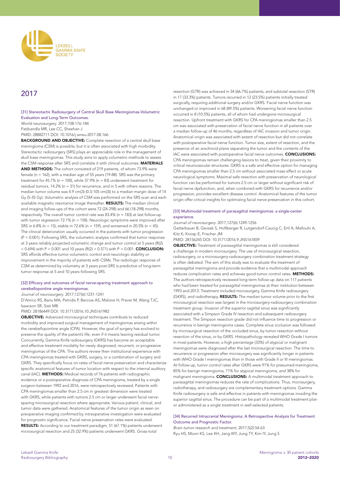

# 2017

# [31] Stereotactic Radiosurgery of Central Skull Base Meningiomas-Volumetric Evaluation and Long-Term Outcomes.

*World neurosurgery*. 2017;108:176-184

Patibandla MR, Lee CC, Sheehan J

PMID: 28882711 DOI: 10.1016/j.wneu.2017.08.166

BACKGROUND AND OBJECTIVE: Complete resection of a central skull base meningioma (CSM) is possible, but it is often associated with high morbidity. Stereotactic radiosurgery (SRS) plays an appreciable role in the management of skull base meningiomas. This study aims to apply volumetric methods to assess the CSM response after SRS and correlate it with clinical outcomes. MATERIALS AND METHODS: The cohort consisted of 219 patients, of whom 73.9% were female (n = 162), with a median age of 55 years (19-88). SRS was the primary treatment for  $45.7\%$  (n = 100), while  $37.9\%$  (n = 83) underwent treatment for residual tumors, 14.2% (n = 31) for recurrence, and in 5 with others reasons. The median tumor volume was 4.9 cm(3) (0.3-105 cm(3)) to a median margin dose of 14 Gy (5-35 Gy). Volumetric analysis of CSM was performed on the SRS scan and each available magnetic resonance image thereafter. RESULTS: The median clinical and imaging follow-ups of the cohort were 72 (24-298) and 66 (18-298) months, respectively. The overall tumor control rate was 83.4% (n = 183) at last follow-up with tumor regression 72.1% (n = 158). Neurologic symptoms were improved after SRS in 6.8% (n = 15), stable in 72.6% (n = 159), and worsened in 20.5% (n = 45). The clinical deterioration usually occurred in the patients with tumor progression (P < 0.001). Following SRS, the volumetric analysis confirmed that tumor response at 3 years reliably projected volumetric change and tumor control at 5 years (R(2)  $= 0.694$ ) with P < 0.001 and 10 years (R(2) = 0.571) with P = 0.001. **CONCLUSION:** SRS affords effective tumor volumetric control and neurologic stability or improvement in the majority of patients with CSMs. The radiologic response of CSM as determined by volumetry at 3 years post-SRS is predictive of long-term tumor response at 5 and 10 years following SRS.

### [32] Efficacy and outcomes of facial nerve-sparing treatment approach to cerebellopontine angle meningiomas.

#### *Journal of neurosurgery*. 2017;127(6):1231-1241

D'Amico RS, Banu MA, Petridis P, Bercow AS, Malone H, Praver M, Wang TJC, Isaacson SR, Sisti MB

#### PMID: 28186449 DOI: 10.3171/2016.10.JNS161982

OBJECTIVE: Advanced microsurgical techniques contribute to reduced morbidity and improved surgical management of meningiomas arising within the cerebellopontine angle (CPA). However, the goal of surgery has evolved to preserve the quality of the patient's life, even if it means leaving residual tumor. Concurrently, Gamma Knife radiosurgery (GKRS) has become an acceptable and effective treatment modality for newly diagnosed, recurrent, or progressive meningiomas of the CPA. The authors review their institutional experience with CPA meningiomas treated with GKRS, surgery, or a combination of surgery and GKRS. They specifically focus on rates of facial nerve preservation and characterize specific anatomical features of tumor location with respect to the internal auditory canal (IAC). METHODS: Medical records of 76 patients with radiographic evidence or a postoperative diagnosis of CPA meningioma, treated by a single surgeon between 1992 and 2016, were retrospectively reviewed. Patients with CPA meningiomas smaller than 2.5 cm in greatest dimension were treated with GKRS, while patients with tumors 2.5 cm or larger underwent facial nervesparing microsurgical resection where appropriate. Various patient, clinical, and tumor data were gathered. Anatomical features of the tumor origin as seen on preoperative imaging confirmed by intraoperative investigation were evaluated for prognostic significance. Facial nerve preservation rates were evaluated. RESULTS: According to our treatment paradigm, 51 (67.1%) patients underwent microsurgical resection and 25 (32.9%) patients underwent GKRS. Gross-total

resection (GTR) was achieved in 34 (66.7%) patients, and subtotal resection (STR) in 17 (33.3%) patients. Tumors recurred in 12 (23.5%) patients initially treated surgically, requiring additional surgery and/or GKRS. Facial nerve function was unchanged or improved in 68 (89.5%) patients. Worsening facial nerve function occurred in 8 (10.5%) patients, all of whom had undergone microsurgical resection. Upfront treatment with GKRS for CPA meningiomas smaller than 2.5 cm was associated with preservation of facial nerve function in all patients over a median follow-up of 46 months, regardless of IAC invasion and tumor origin. Anatomical origin was associated with extent of resection but did not correlate with postoperative facial nerve function. Tumor size, extent of resection, and the presence of an arachnoid plane separating the tumor and the contents of the IAC were associated with postoperative facial nerve outcomes. CONCLUSIONS: CPA meningiomas remain challenging lesions to treat, given their proximity to critical neurovascular structures. GKRS is a safe and effective option for managing CPA meningiomas smaller than 2.5 cm without associated mass effect or acute neurological symptoms. Maximal safe resection with preservation of neurological function can be performed for tumors 2.5 cm or larger without significant risk of facial nerve dysfunction, and, when combined with GKRS for recurrence and/or progression, provides excellent disease control. Anatomical features of the tumor origin offer critical insights for optimizing facial nerve preservation in this cohort.

## [33] Multimodal treatment of parasagittal meningiomas: a single-center experience.

*Journal of neurosurgery*. 2017;127(6):1249-1256 Gatterbauer B, Gevsek S, Hoftberger R, Lutgendorf-Caucig C, Ertl A, Mallouhi A, Kitz K, Knosp E, Frischer JM

PMID: 28156245 DOI: 10.3171/2016.9.JNS161859

OBJECTIVE: Treatment of parasagittal meningiomas is still considered a challenge in modern microsurgery. The use of microsurgical resection, radiosurgery, or a microsurgery-radiosurgery combination treatment strategy is often debated. The aim of this study was to evaluate the treatment of parasagittal meningioma and provide evidence that a multimodal approach reduces complication rates and achieves good tumor control rates. METHODS: The authors retrospectively reviewed long-term follow-up data on 117 patients who had been treated for parasagittal meningiomas at their institution between 1993 and 2013. Treatment included microsurgery, Gamma Knife radiosurgery (GKRS), and radiotherapy. RESULTS: The median tumor volume prior to the first microsurgical resection was largest in the microsurgery-radiosurgery combination treatment group. Invasion of the superior sagittal sinus was significantly associated with a Simpson Grade IV resection and subsequent radiosurgery treatment. The Simpson resection grade did not influence time to progression or recurrence in benign meningioma cases. Complete sinus occlusion was followed by microsurgical resection of the occluded sinus, by tumor resection without resection of the sinus, or by GKRS. Histopathology revealed WHO Grade I tumors in most patients. However, a high percentage (33%) of atypical or malignant meningiomas were diagnosed after the last microsurgical resection. The time to recurrence or progression after microsurgery was significantly longer in patients with WHO Grade I meningiomas than in those with Grade II or III meningiomas. At follow-up, tumor control rates after GKRS were 91% for presumed meningioma, 85% for benign meningioma, 71% for atypical meningioma, and 38% for malignant meningioma. **CONCLUSIONS:** A multimodal treatment approach to parasagittal meningiomas reduces the rate of complications. Thus, microsurgery, radiotherapy, and radiosurgery are complementary treatment options. Gamma Knife radiosurgery is safe and effective in patients with meningiomas invading the superior sagittal sinus. The procedure can be part of a multimodal treatment plan or administered as a single treatment in well-selected patients.

#### [34] Recurred Intracranial Meningioma: A Retrospective Analysis for Treatment Outcome and Prognostic Factor.

*Brain tumor research and treatment*. 2017;5(2):54-63 Ryu HS, Moon KS, Lee KH, Jang WY, Jung TY, Kim IY, Jung S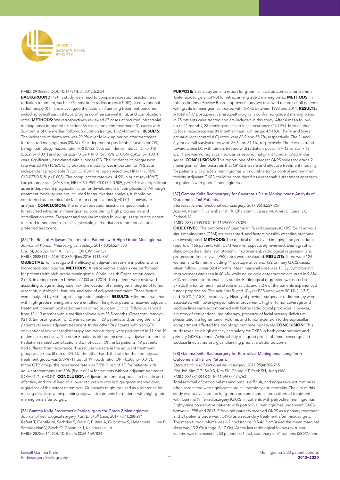

#### PMID: 29188205 DOI: 10.14791/btrt.2017.5.2.54

**BACKGROUND:** In this study, we aimed to compare repeated resection and radiation treatment, such as Gamma knife radiosurgery (GKRS) or conventional radiotherapy (RT), and investigate the factors influencing treatment outcome, including overall survival (OS), progression-free survival (PFS), and complication rates. METHODS: We retrospectively reviewed 67 cases of recurred intracranial meningiomas (repeated resection: 36 cases, radiation treatment: 31 cases) with 56 months of the median follow-up duration (range, 13-294 months). RESULTS: The incidence of death rate was 29.9% over follow-up period after treatment for recurred meningiomas (20/67). As independent predictable factors for OS, benign pathology [hazard ratio (HR) 0.132, 95% confidence interval (CI) 0.048- 0.362, p<0.001] and tumor size <3 cm (HR 0.167, 95% CI 0.061-0.452, p<0.001) were significantly associated with a longer OS. The incidence of progression rate was 23.9% (16/67). Only treatment modality was important for PFS as an independent predictable factor (GKRS/RT vs. open resection; HR 0.117, 95% CI 0.027-0.518, p<0.005). The complication rate was 14.9% in our study (10/67). Larger tumor size (>/=3 cm, HR 0.060, 95% CI 0.007-0.509, p=0.010) was significant as an independent prognostic factor for development of complications. Although treatment modality was not included for multivariate analysis, it should be considered as a predictable factor for complications (p=0.001 in univariate analysis). **CONCLUSION:** The role of repeated resection is questionable for recurred intracranial meningiomas, considering high progression and complication rates. Frequent and regular imaging follow-up is required to detect recurred tumor sized as small as possible, and radiation treatment can be a preferred treatment.

# [35] The Role of Adjuvant Treatment in Patients with High-Grade Meningioma. *Journal of Korean Neurosurgical Society*. 2017;60(5):527-533

Cho M, Joo JD, Kim IA, Han JH, Oh CW, Kim CY

PMID: 28881115 DOI: 10.3340/jkns.2016.1111.009

OBJECTIVE: To investigate the efficacy of adjuvant treatment in patients with high-grade meningioma. **METHODS:** A retrospective analysis was performed for patients with high-grade meningioma, World Health Organization grade 2 or 3, in a single center between 2003 and 2014. The patients were reviewed according to age at diagnosis, sex, the location of meningioma, degree of tumor resection, histological features, and type of adjuvant treatment. These factors were analyzed by Firth logistic regression analyses. RESULTS: Fifty-three patients with high-grade meningioma were enrolled. Thirty-four patients received adjuvant treatment; conventional radiotherapy or radiosurgery. Clinical follow-up ranged from 13-113 months with a median follow-up of 35.5 months. Gross total removal (GTR), Simpson grade 1 or 2, was achieved in 29 patients and, among them, 13 patients received adjuvant treatment. In the other 24 patients with non-GTR, conventional adjuvant radiotherapy and radiosurgery were performed in 11 and 10 patients, respectively. The other 3 patients did not receive any adjuvant treatment. Radiation-related complications did not occur. Of the 53 patients, 19 patients had suffered from recurrence. The recurrence rate in the adjuvant treatment group was 23.5% (8 out of 34). On the other hand, the rate for the non-adjuvant treatment group was 57.9% (11 out of 19) (odds ratio [OR]=0.208, p=0.017). In the GTR group, the recurrence rate was 7.5% (1 out of 13) for patients with adjuvant treatment and 50% (8 out of 16) for patients without adjuvant treatment (OR=0.121, p=0.04). **CONCLUSION:** Adjuvant treatment appears to be safe and effective, and could lead to a lower recurrence rate in high-grade meningioma, regardless of the extent of removal. Our results might be used as a reference for making decisions when planning adjuvant treatments for patients with high-grade meningioma after surgery.

[36] Gamma Knife Stereotactic Radiosurgery for Grade 2 Meningiomas. *Journal of neurological surgery. Part B, Skull base*. 2017;78(4):288-294 Refaat T, Gentile M, Sachdev S, Dalal P, Butala A, Gutiontov S, Helenowksi I, Lee P, Sathiaseelan V, Bloch O, Chandler J, Kalapurakal JA PMID: 28725514 DOI: 10.1055/s-0036-1597834

PURPOSE: This study aims to report long-term clinical outcomes after Gamma Knife radiosurgery (GKRS) for intracranial grade 2 meningiomas. METHODS: In this Institutional Review Board approved study, we reviewed records of all patients with grade 2 meningiomas treated with GKRS between 1998 and 2014. RESULTS: A total of 97 postoperative histopathologically confirmed grade 2 meningiomas in 75 patients were treated and are included in this study. After a mean followup of 41 months, 28 meningiomas had local recurrence (29.79%). Median time to local recurrence was 89 months (mean: 69, range: 47-168). The 3- and 5-year actuarial local control (LC) rates were 68.9 and 55.7%, respectively. The 3- and 5-year overall survival rates were 88.6 and 81.1%, respectively. There was a trend toward worse LC with tumors treated with radiation doses </= 13 versus > 13 Gy. There was no radiation necrosis or second malignant tumors noted in our series. **CONCLUSIONS:** This report, one of the largest GKRS series for grade 2 meningiomas, demonstrates that GKRS is a safe and effective treatment modality for patients with grade 2 meningiomas with durable tumor control and minimal toxicity. Adjuvant GKRS could be considered as a reasonable treatment approach for patients with grade 2 meningiomas.

#### [37] Gamma Knife Radiosurgery for Cavernous Sinus Meningiomas: Analysis of Outcome in 166 Patients.

*Stereotactic and functional neurosurgery*. 2017;95(4):259-267 Azar M, Kazemi F, Jahanbakhshi A, Chanideh I, Jalessi M, Amini E, Geraily G, Farhadi M

#### PMID: 28797005 DOI: 10.1159/000478024

**OBJECTIVES:** The outcomes of Gamma Knife radiosurgery (GKRS) for cavernous sinus meningioma (CSM) are presented, and factors possibly affecting outcome are investigated. METHODS: The medical records and imaging and procedural reports of 166 patients with CSM were retrospectively reviewed. Demographic data, procedural data, symptomatic improvement, radiological regression, and progression-free survival (PFS) rates were evaluated. RESULTS: There were 124 women and 42 men; including 44 postoperative and 122 primary GKRS cases. Mean follow-up was 32.4 months. Mean marginal dose was 13 Gy. Symptomatic improvement was seen in 40.4%, while neurologic deterioration occurred in 9.6%; 50% remained symptomatically stable. Radiological regression was noted in 57.2%; the tumor remained stable in 35.5%, and 7.2% of the patients experienced tumor progression. The actuarial 5- and 10-year PFS rates were 90.1% (+/-3.3) and 75.8% (+/-8.8), respectively. History of previous surgery or radiotherapy were associated with lower symptomatic improvement. Higher tumor coverage and isodose lines were accompanied with better radiological prognosis. However, a history of conventional radiotherapy, presence of facial sensory deficits at presentation, a higher tumor volume, and tumor extension to the suprasellar compartment affected the radiologic outcome negatively. CONCLUSION: This study revealed a high efficacy and safety for GKRS in both postoperative and primary GKRS patients. Achievability of a good profile of tumor coverage and isodose lines at radiosurgical planning predict a better outcome.

#### [38] Gamma Knife Radiosurgery for Petroclival Meningioma: Long-Term Outcome and Failure Pattern.

*Stereotactic and functional neurosurgery*. 2017;95(4):209-215 Kim JW, Kim DG, Se YB, Kim SK, Chung HT, Paek SH, Jung HW PMID: 28683438 DOI: 10.1159/000475763

Total removal of petroclival meningioma is difficult, and aggressive extirpation is often associated with significant surgical morbidity and mortality. The aim of this study was to evaluate the long-term outcome and failure pattern of treatment with Gamma Knife radiosurgery (GKRS) in patients with petroclival meningiomas. Eighty-nine consecutive patients with petroclival meningiomas underwent GKRS between 1998 and 2013. Fifty-eight patients received GKRS as a primary treatment and 31 patients underwent GKRS as a secondary treatment after microsurgery. The mean tumor volume was 6.7 cm3 (range, 0.5-46.3 cm3) and the mean marginal dose was 13.2 Gy (range, 8-17 Gy). At the last radiological follow-up, tumor volume was decreased in 50 patients (56.2%), stationary in 34 patients (38.2%), and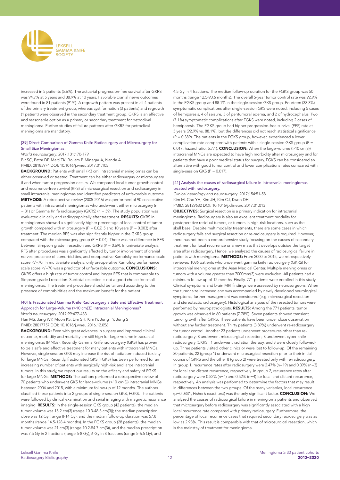

increased in 5 patients (5.6%). The actuarial progression-free survival after GKRS was 94.7% at 5 years and 88.9% at 10 years. Favorable cranial nerve outcomes were found in 81 patients (91%). A regrowth pattern was present in all 4 patients of the primary treatment group, whereas cyst formation (3 patients) and regrowth (1 patient) were observed in the secondary treatment group. GKRS is an effective and reasonable option as a primary or secondary treatment for petroclival meningioma. Further studies of failure patterns after GKRS for petroclival meningioma are mandatory.

# [39] Direct Comparison of Gamma Knife Radiosurgery and Microsurgery for Small Size Meningiomas.

*World neurosurgery*. 2017;101:170-179

Bir SC, Patra DP, Maiti TK, Bollam P, Minagar A, Nanda A PMID: 28185974 DOI: 10.1016/j.wneu.2017.01.105

BACKGROUND: Patients with small (<3 cm) intracranial meningiomas can be either observed or treated. Treatment can be either radiosurgery or microsurgery if and when tumor progression occurs. We compared local tumor growth control and recurrence-free survival (RFS) of microsurgical resection and radiosurgery in small intracranial meningiomas and identified predictors of unfavorable outcome. METHODS: A retrospective review (2005-2016) was performed of 90 consecutive patients with intracranial meningiomas who underwent either microsurgery (n = 31) or Gamma Knife radiosurgery (GKRS) (n = 59). The study population was evaluated clinically and radiographically after treatment. RESULTS: GKRS in meningiomas showed a significantly higher percentage of local control of tumor growth compared with microsurgery ( $P = 0.02$ ) 5 and 10 years ( $P = 0.003$ ) after treatment. The median RFS was also significantly higher in the GKRS group compared with the microsurgery group ( $P = 0.04$ ). There was no difference in RFS between Simpson grade I resection and GKRS (P = 0.69). In univariate analysis, RFS after procedures was significantly affected by tumor involvement of cranial nerves, presence of comorbidities, and preoperative Karnofsky performance scale score </=70. In multivariate analysis, only preoperative Karnofsky performance scale score </=70 was a predictor of unfavorable outcome. CONCLUSIONS: GKRS offers a high rate of tumor control and longer RFS that is comparable to Simpson grade I resection. Subtotal resection is not a good choice for small meningiomas. The treatment procedure should be tailored according to the presence of comorbidities and the maximum benefit for the patient.

#### [40] Is Fractionated Gamma Knife Radiosurgery a Safe and Effective Treatment Approach for Large-Volume (>10 cm(3)) Intracranial Meningiomas? *World neurosurgery*. 2017;99:477-483

Han MS, Jang WY, Moon KS, Lim SH, Kim IY, Jung TY, Jung S PMID: 28017757 DOI: 10.1016/j.wneu.2016.12.056

BACKGROUND: Even with great advances in surgery and improved clinical outcome, morbidity and mortality are still high for large-volume intracranial meningiomas (MNGs). Recently, Gamma Knife radiosurgery (GKS) has proven to be a safe and effective treatment for many patients with intracranial MNGs. However, single-session GKS may increase the risk of radiation-induced toxicity for large MNGs. Recently, fractionated GKS (FGKS) has been performed for an increasing number of patients with surgically high-risk and large intracranial tumors. In this study, we report our results on the efficacy and safety of FGKS for large MNGs. **METHODS:** The authors performed a retrospective review of 70 patients who underwent GKS for large-volume (>10 cm(3)) intracranial MNGs between 2004 and 2015, with a minimum follow-up of 12 months. The authors classified these patients into 2 groups of single-session GKS, FGKS. The patients were followed by clinical examination and serial imaging with magnetic resonance imaging. **RESULTS:** In the single-session GKS group (42 patients), the median tumor volume was 15.2 cm(3) (range 10.3-48.3 cm(3)); the median prescription dose was 12 Gy (range 8-14 Gy), and the median follow-up duration was 57.8 months (range 14.5-128.4 months). In the FGKS group (28 patients), the median tumor volume was 21 cm(3) (range 10.2-54.7 cm(3)), and the median prescription was 7.5 Gy in 2 fractions (range 5-8 Gy), 6 Gy in 3 fractions (range 5-6.5 Gy), and

4.5 Gy in 4 fractions. The median follow-up duration for the FGKS group was 50 months (range 12.5-90.6 months). The overall 5-year tumor control rate was 92.9% in the FGKS group and 88.1% in the single-session GKS group. Fourteen (33.3%) symptomatic complications after single-session GKS were noted, including 5 cases of hemiparesis, 4 of seizure, 3 of peritumoral edema, and 2 of hydrocephalus. Two (7.1%) symptomatic complications after FGKS were noted, including 2 cases of hemiparesis. The FGKS group had higher progression-free survival (PFS) rate at 5 years (92.9% vs. 88.1%), but the differences did not reach statistical significance (P = 0.389). The patients in the FGKS group, however, experienced a lower complication rate compared with patients with a single-session GKS group  $(P =$ 0.017, hazard ratio, 5.7:1). **CONCLUSION:** When the large-volume (>10 cm(3)) intracranial MNGs are expected to have high morbidity after microsurgery and for patients that have a poor medical status for surgery, FGKS can be considered an alternative with good tumor control and lower complications rates compared with single-session GKS (P = 0.017).

#### [41] Analysis the causes of radiosurgical failure in intracranial meningiomas treated with radiosurgery.

*Clinical neurology and neurosurgery*. 2017;154:51-58 Kim M, Cho YH, Kim JH, Kim CJ, Kwon DH

PMID: 28129632 DOI: 10.1016/j.clineuro.2017.01.013

OBJECTIVES: Surgical resection is a primary indication for intracranial meningioma. Radiosurgery is also an excellent treatment modality for postoperative residual tumors, or tumors in high-risk locations, such as the skull base. Despite multimodality treatments, there are some cases in which radiosurgery fails and surgical resection or re-radiosurgery is required. However, there has not been a comprehensive study focusing on the causes of secondary treatment for local recurrence or a new mass that develops outside the target area after radiosurgery. Hence, we analyzed the causes of radiosurgical failure in patients with meningioma. METHODS: From 2000 to 2015, we retrospectively reviewed 1086 patients who underwent gamma knife radiosurgery (GKRS) for intracranial meningioma at the Asan Medical Center. Multiple meningiomas or tumors with a volume greater than 7000mm(3) were excluded. All patients had a minimum follow-up of 12 months. Finally, 771 patients were enrolled in this study. Clinical symptoms and brain MRI findings were assessed by neurosurgeons. When the tumor size increased and was accompanied by newly developed neurological symptoms, further management was considered (e.g. microsurgical resection and stereotactic radiosurgery). Histological analyses of the resected tumors were performed by neuropathologists. RESULTS: Among the 771 patients, tumor growth was observed in 60 patients (7.78%). Seven patients showed transient tumor growth after GKRS. These patients have been under close observation without any further treatment. Thirty patients (3.89%) underwent re-radiosurgery for tumor control. Another 23 patients underwent procedures other than reradiosurgery; 8 underwent microsurgical resection, 3 underwent cyber knife radiosurgery (CKRS), 1 underwent radiation therapy, and 8 were closely followedup. Three patients visited other clinics or were lost to follow-up. Of the remaining 30 patients, 22 (group 1) underwent microsurgical resection prior to their initial course of GKRS and the other 8 (group 2) were treated only with re-radiosurgery. In group 1, recurrence rates after radiosurgery were 2.47% (n=19) and 0.39% (n=3) for local and distant recurrence, respectively. In group 2, recurrence rates after radiosurgery were 0.52% (n=4) and 0.52% (n=4) for local and distant recurrence, respectively. An analysis was performed to determine the factors that may result in differences between the two groups. Of the many variables, local recurrence (p=0.0331, Fisher's exact test) was the only significant factor. CONCLUSION: We analyzed the causes of radiosurgical failure in meningioma patients and observed that microsurgery before radiosurgery was significantly associated with a high local recurrence rate compared with primary radiosurgery. Furthermore, the percentage of local recurrence cases that required secondary radiosurgery was as low as 2.98%. This result is comparable with that of microsurgical resection, which is the mainstay of treatment for meningioma.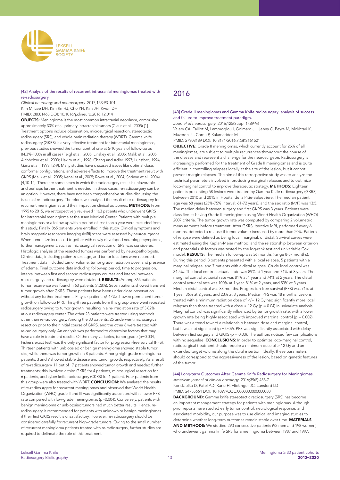

# [42] Analysis of the results of recurrent intracranial meningiomas treated with re-radiosurgery.

*Clinical neurology and neurosurgery*. 2017;153:93-101 Kim M, Lee DH, Kim Rn HJ, Cho YH, Kim JH, Kwon DH PMID: 28081463 DOI: 10.1016/j.clineuro.2016.12.014

OBJECTS: Meningioma is the most common intracranial neoplasm, comprising approximately 30% of all primary intracranial tumors (Claus et al., 2005) [1]. Treatment options include observation, microsurgical resection, stereotactic radiosurgery (SRS), and whole brain radiation therapy (WBRT). Gamma knife radiosurgery (GKRS) is a very effective treatment for intracranial meningiomas; previous studies showed the tumor control rate at 5-10 years of follow-up as 84.3%-100% in all cases (Feigl et al., 2005; Linskey et al., 2005; Malik et al., 2005; Aichholzer et al., 2000; Hakim et al., 1998; Chang and Adler 1997; Lunsford, 1994; Ganz et al., 1993) [2-9]. Many studies have discussed issues like optimal dose, conformal configurations, and adverse effects to improve the treatment result with GKRS (Malik et al., 2005; Kenai et al., 2005; Rowe et al., 2004; Shrieve et al., 2004) [4,10-12]. There are some cases in which the radiosurgery result is unfavorable and perhaps further treatment is needed. In these cases, re-radiosurgery can be an option. However, there have not been comprehensive studies discussing the issues of re-radiosurgery. Therefore, we analyzed the result of re-radiosurgery for recurrent meningiomas and their impact on clinical outcomes. METHODS: From 1995 to 2015, we retrospectively reviewed 1163 patients who underwent GKRS for intracranial meningioma at the Asan Medical Center. Patients with multiple meningiomas or a follow-up with a period of less than a year were excluded from this study. Finally, 865 patients were enrolled in this study. Clinical symptoms and brain magnetic resonance imaging (MRI) scans were assessed by neurosurgeons. When tumor size increased together with newly developed neurologic symptoms, further management, such as microsurgical resection or SRS, was considered. Histologic analysis of the resected tumors was performed by neuropathologists. Clinical data, including patient's sex, age, and tumor locations were recorded. Treatment data included tumor volume, tumor grade, radiation dose, and presence of edema. Final outcome data including follow-up period, time to progression, interval between first and second radiosurgery courses and interval between microsurgery and radiosurgery were obtained. RESULTS: Among 865 patients, tumor recurrence was found in 63 patients (7.28%). Seven patients showed transient tumor growth after GKRS. These patients have been under close observation without any further treatments. Fifty-six patients (6.47%) showed permanent tumor growth on follow-up MRI. Thirty-three patients from this group underwent repeated radiosurgery owing to tumor growth, resulting in a re-irradiation rate of 3.82% at our radiosurgery center. The other 23 patients were treated using methods other than re-radiosurgery. Among the 33 patients, 25 underwent microsurgical resection prior to their initial course of GKRS, and the other 8 were treated with re-radiosurgery only. An analysis was performed to determine factors that may have a role in treatment results. Of the many variables, tumor grade (p=0.004, Fisher's exact test) was the only significant factor for progression-free survival (PFS). Thirteen patients with unbiopsied or benign meningioma showed stable tumor size, while there was tumor growth in 8 patients. Among high-grade meningioma patients, 3 and 9 showed stable disease and tumor growth, respectively. As a result of re-radiosurgery, 11 out of 17 patients showed tumor growth and needed further treatments; this involved a third GKRS for 4 patients, microsurgical resection for 6 patients, and cyber knife radiosurgery (CKRS) for 1 patient. Four patients from this group were also treated with WBRT. CONCLUSION: We analyzed the results of re-radiosurgery for recurrent meningiomas and observed that World Health Organization (WHO) grade II and III was significantly associated with a lower PFS rate compared with low-grade meningiomas (p=0.004). Conversely, patients with benign meningioma or unbiopsied tumors had much better results. Hence, reradiosurgery is recommended for patients with unknown or benign meningiomas if their first GKRS result is unsatisfactory. However, re-radiosurgery should be considered carefully for recurrent high-grade tumors. Owing to the small number of recurrent meningioma patients treated with re-radiosurgery, further studies are required to delineate the role of this treatment.

# 2016

#### [43] Grade II meningiomas and Gamma Knife radiosurgery: analysis of success and failure to improve treatment paradigm.

*Journal of neurosurgery*. 2016;125(Suppl 1):89-96

Valery CA, Faillot M, Lamproglou I, Golmard JL, Jenny C, Peyre M, Mokhtari K, Mazeron JJ, Cornu P, Kalamarides M

PMID: 27903189 DOI: 10.3171/2016.7.GKS161521

OBJECTIVE: Grade II meningiomas, which currently account for 25% of all meningiomas, are subject to multiple recurrences throughout the course of the disease and represent a challenge for the neurosurgeon. Radiosurgery is increasingly performed for the treatment of Grade II meningiomas and is quite efficient in controlling relapses locally at the site of the lesion, but it cannot prevent margin relapses. The aim of this retrospective study was to analyze the technical parameters involved in producing marginal relapses and to optimize loco-marginal control to improve therapeutic strategy. METHODS: Eighteen patients presenting 58 lesions were treated by Gamma Knife radiosurgery (GKRS) between 2010 and 2015 in Hopital de la Pitie-Salpetriere. The median patient age was 68 years (25%-75% interval: 61-72 years), and the sex ratio (M/F) was 13:5. The median delay between surgery and first GKRS was 3 years. Patients were classified as having Grade II meningioma using World Health Organization (WHO) 2007 criteria. The tumor growth rate was computed by comparing 2 volumetric measurements before treatment. After GKRS, iterative MRI, performed every 6 months, detected a relapse if tumor volume increased by more than 20%. Patterns of relapse were defined as being local, marginal, or distal. Survival curves were estimated using the Kaplan-Meier method, and the relationship between criterion and potential risk factors was tested by the log-rank test and univariable Cox model. **RESULTS:** The median follow-up was 36 months (range 8-57 months). During this period, 3 patients presented with a local relapse, 5 patients with a marginal relapse, and 7 patients with a distal relapse. Crude local control was 84.5%. The local control actuarial rate was 89% at 1 year and 71% at 3 years. The marginal control actuarial rate was 81% at 1 year and 74% at 2 years. The distal control actuarial rate was 100% at 1 year, 81% at 2 years, and 53% at 3 years. Median distal control was 38 months. Progression-free survival (PFS) was 71% at 1 year, 36% at 2 years, and 23% at 3 years. Median PFS was 18 months. Lesions treated with a minimum radiation dose of </= 12 Gy had significantly more local relapses than those treated with a dose  $> 12$  Gy (p = 0.04) in univariate analysis. Marginal control was significantly influenced by tumor growth rate, with a lower growth rate being highly associated with improved marginal control ( $p = 0.002$ ). There was a trend toward a relationship between dose and marginal control, but it was not significant ( $p = 0.09$ ). PFS was significantly associated with delay between first surgery and GKRS ( $p = 0.03$ ). The authors noticed few complications with no sequelae. CONCLUSIONS: In order to optimize loco-marginal control, radiosurgical treatment should require a minimum dose of > 12 Gy and an extended target volume along the dural insertion. Ideally, these parameters should correspond to the aggressiveness of the lesion, based on genetic features of the tumor.

[44] Long-term Outcomes After Gamma Knife Radiosurgery for Meningiomas. *American journal of clinical oncology*. 2016;39(5):453-7 Kondziolka D, Patel AD, Kano H, Flickinger JC, Lunsford LD PMID: 24755664 DOI: 10.1097/COC.0000000000000080

BACKGROUND: Gamma knife stereotactic radiosurgery (SRS) has become an important management strategy for patients with meningiomas. Although prior reports have studied early tumor control, neurological response, and associated morbidity, our purpose was to use clinical and imaging studies to determine whether long-term outcomes remain stable over time. MATERIALS AND METHODS: We studied 290 consecutive patients (92 men and 198 women) who underwent gamma knife SRS for a meningioma between 1987 and 1997.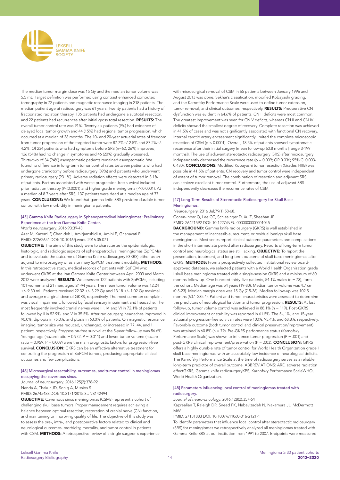

The median tumor margin dose was 15 Gy and the median tumor volume was 5.5 mL. Target definition was performed using contrast enhanced computed tomography in 72 patients and magnetic resonance imaging in 218 patients. The median patient age at radiosurgery was 61 years. Twenty patients had a history of fractionated radiation therapy, 136 patients had undergone a subtotal resection, and 22 patients had recurrences after initial gross total resection. RESULTS: The overall tumor control rate was 91%. Twenty-six patients (9%) had evidence of delayed local tumor growth and 44 (15%) had regional tumor progression, which occurred at a median of 38 months. The 10- and 20-year actuarial rates of freedom from tumor progression of the targeted tumor were 87.7%+/-2.5% and 87.2%+/- 4.2%. Of 234 patients who had symptoms before SRS (n=62, 26%) improved, 126 (54%) had no change in symptoms and 46 (20%) gradually worsened. Thirty-two of 34 (94%) asymptomatic patients remained asymptomatic. We found no difference in long-term tumor control rates between patients who had undergone craniotomy before radiosurgery (89%) and patients who underwent primary radiosurgery (93.1%). Adverse radiation effects were detected in 3.1% of patients. Factors associated with worse progression-free survival included prior radiation therapy (P<0.0001) and higher grade meningioma (P<0.0001). At a median of 8.7 years after SRS, 137 patients were dead at a median age of 77 years. CONCLUSIONS: We found that gamma knife SRS provided durable tumor control with low morbidity in meningioma patients.

#### [45] Gamma Knife Radiosurgery in Sphenopetroclival Meningiomas: Preliminary Experience at the Iran Gamma Knife Center.

*World neurosurgery*. 2016;93:39-43

Azar M, Kazemi F, Chanideh I, Amirjamshidi A, Amini E, Ghanavati P PMID: 27262654 DOI: 10.1016/j.wneu.2016.05.071

OBJECTIVE: The aims of this study were to characterize the epidemiologic, histologic, and radiologic aspects of sphenopetroclival meningiomas (SpPCMs) and to evaluate the outcome of Gamma Knife radiosurgery (GKRS) either as an adjunct to microsurgery or as a primary SpPCM treatment modality. METHODS: In this retrospective study, medical records of patients with SpPCM who underwent GKRS at the Iran Gamma Knife Center between April 2003 and March 2012 were analyzed. RESULTS: We assessed 122 patients with SpPCMs, including 101 women and 21 men, aged 24-94 years. The mean tumor volume was 12.24 +/- 9.30 mL. Patients received 22.32 +/- 3.29 Gy and 13.18 +/- 1.02 Gy maximal and average marginal dose of GKRS, respectively. The most common complaint was visual impairment, followed by facial sensory impairment and headache. The most frequently involved cranial nerves were III, IV, and VI in 72.1% of patients, followed by II in 52.9%, and V in 35.5%. After radiosurgery, headaches improved in 90.0%, diplopia in 75.0%, and ptosis in 63.0% of patients. On magnetic resonance imaging, tumor size was reduced, unchanged, or increased in 77, 44, and 1 patient, respectively. Progression-free survival at the 5-year follow-up was 56.6%. Younger age (hazard ratio = 0.972, P = 0.011) and lower tumor volume (hazard ratio =  $0.959$ ,  $P = 0.009$ ) were the main prognostic factors for progression-free survival. CONCLUSION: GKRS can be an effective alternative treatment for controlling the progression of SpPCM tumors, producing appropriate clinical outcomes and few complications.

# [46] Microsurgical resectability, outcomes, and tumor control in meningiomas occupying the cavernous sinus.

*Journal of neurosurgery*. 2016;125(2):378-92 Nanda A, Thakur JD, Sonig A, Missios S PMID: 26745483 DOI: 10.3171/2015.3.JNS142494

OBJECTIVE: Cavernous sinus meningiomas (CSMs) represent a cohort of challenging skull base tumors. Proper management requires achieving a balance between optimal resection, restoration of cranial nerve (CN) function, and maintaining or improving quality of life. The objective of this study was to assess the pre-, intra-, and postoperative factors related to clinical and neurological outcomes, morbidity, mortality, and tumor control in patients with CSM. **METHODS:** A retrospective review of a single surgeon's experience with microsurgical removal of CSM in 65 patients between January 1996 and August 2013 was done. Sekhar's classification, modified Kobayashi grading, and the Karnofsky Performance Scale were used to define tumor extension, tumor removal, and clinical outcomes, respectively. RESULTS: Preoperative CN dysfunction was evident in 64.6% of patients. CN II deficits were most common. The greatest improvement was seen for CN V deficits, whereas CN II and CN IV deficits showed the smallest degree of recovery. Complete resection was achieved in 41.5% of cases and was not significantly associated with functional CN recovery. Internal carotid artery encasement significantly limited the complete microscopic resection of CSM (p < 0.0001). Overall, 18.5% of patients showed symptomatic recurrence after their initial surgery (mean follow-up 60.8 months [range 3-199 months]). The use of adjuvant stereotactic radiosurgery (SRS) after microsurgery independently decreased the recurrence rate ( $p = 0.009$ ; OR 0.036; 95% CI 0.003-0.430). CONCLUSIONS: Modified Kobayashi tumor resection (Grades I-IIIB) was possible in 41.5% of patients. CN recovery and tumor control were independent of extent of tumor removal. The combination of resection and adjuvant SRS can achieve excellent tumor control. Furthermore, the use of adjuvant SRS independently decreases the recurrence rates of CSM.

## [47] Long-Term Results of Stereotactic Radiosurgery for Skull Base Meningiomas.

#### *Neurosurgery*. 2016 Jul;79(1):58-68.

Cohen-Inbar O, Lee CC, Schlesinger D, Xu Z, Sheehan JP PMID: 26421592 DOI: 10.1227/NEU.0000000000001045

BACKGROUND: Gamma knife radiosurgery (GKRS) is well established in the management of inaccessible, recurrent, or residual benign skull base meningiomas. Most series report clinical outcome parameters and complications in the short intermediate period after radiosurgery. Reports of long-term tumor control and neurological status are still lacking. OBJECTIVE: To report the presentation, treatment, and long-term outcome of skull base meningiomas after GKRS. METHODS: From a prospectively collected institutional review boardapproved database, we selected patients with a World Health Organization grade I skull base meningioma treated with a single-session GKRS and a minimum of 60 months follow-up. One hundred thirty-five patients, 54.1% males ( $n = 73$ ), form the cohort. Median age was 54 years (19-80). Median tumor volume was 4.7 cm (0.5-23). Median margin dose was 15 Gy (7.5-36). Median follow-up was 102.5 months (60.1-235.4). Patient and tumor characteristics were assessed to determine the predictors of neurological function and tumor progression. RESULTS: At last follow-up, tumor volume control was achieved in 88.1% (n = 119). Post-GKRS clinical improvement or stability was reported in 61.5%. The 5-, 10-, and 15-year actuarial progression-free survival rates were 100%, 95.4%, and 68.8%, respectively. Favorable outcome (both tumor control and clinical preservation/improvement) was attained in 60.8% (n = 79). Pre-GKRS performance status (Karnofsky Performance Scale) was shown to influence tumor progression (P = .001) and post-GKRS clinical improvement/preservation (P = .003). CONCLUSION: GKRS offers a highly durable rate of tumor control for World Health Organization grade I skull base meningiomas, with an acceptably low incidence of neurological deficits. The Karnofsky Performance Scale at the time of radiosurgery serves as a reliable long-term predictor of overall outcome. ABBREVIATIONS: ARE, adverse radiation effectGKRS, Gamma knife radiosurgeryKPS, Karnofsky Performance ScaleWHO, World Health Organization.

#### [48] Parameters influencing local control of meningiomas treated with radiosurgery.

*Journal of neuro-oncology*. 2016;128(2):357-64

Kaprealian T, Raleigh DR, Sneed PK, Nabavizadeh N, Nakamura JL, McDermott **MA** 

PMID: 27131883 DOI: 10.1007/s11060-016-2121-1

To identify parameters that influence local control after stereotactic radiosurgery (SRS) for meningiomas we retrospectively analyzed all meningiomas treated with Gamma Knife SRS at our institution from 1991 to 2007. Endpoints were measured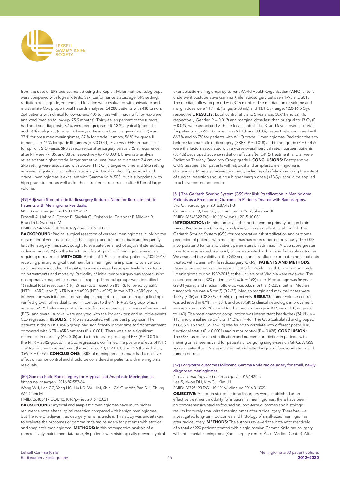

from the date of SRS and estimated using the Kaplan-Meier method; subgroups were compared with log-rank tests. Sex, performance status, age, SRS setting, radiation dose, grade, volume and location were evaluated with univariate and multivariate Cox proportional hazards analyses. Of 280 patients with 438 tumors, 264 patients with clinical follow-up and 406 tumors with imaging follow-up were analyzed (median follow-up: 75.9 months). Thirty-seven percent of the tumors had no tissue diagnosis, 32 % were benign (grade I), 12 % atypical (grade II), and 19 % malignant (grade III). Five-year freedom from progression (FFP) was 97 % for presumed meningiomas, 87 % for grade I tumors, 56 % for grade II tumors, and 47 % for grade III tumors (p < 0.0001). Five-year FFP probabilities for upfront SRS versus SRS at recurrence after surgery versus SRS at recurrence after RT were 97, 86, and 38 %, respectively (p < 0.0001). Univariate analysis revealed that higher grade, larger target volume (median diameter: 2.4 cm) and SRS setting were associated with poorer FFP. Only target volume and SRS setting remained significant on multivariate analysis. Local control of presumed and grade I meningiomas is excellent with Gamma Knife SRS, but is suboptimal with high-grade tumors as well as for those treated at recurrence after RT or of large volume.

# [49] Adjuvant Stereotactic Radiosurgery Reduces Need for Retreatments in Patients with Meningioma Residuals.

*World neurosurgery*. 2016;88:475-482

Frostell A, Hakim R, Dodoo E, Sinclair G, Ohlsson M, Forander P, Milovac B, Brundin L, Svensson M

PMID: 26546994 DOI: 10.1016/j.wneu.2015.10.062

BACKGROUND: Radical surgical resection of cerebral meningiomas involving the dura mater of venous sinuses is challenging, and tumor residuals are frequently left after surgery. This study sought to evaluate the effect of adjuvant stereotactic radiosurgery (aSRS) on the time to significant growth of meningioma residuals requiring retreatment. METHODS: A total of 119 consecutive patients (2004-2013) receiving primary surgical treatment for a meningioma in proximity to a venous structure were included. The patients were assessed retrospectively, with a focus on retreatments and mortality. Radicality of initial tumor surgery was scored using postoperative magnetic resonance imaging. Three subgroups were identified: 1) radical total resection (RTR); 2) near-total resection (NTR), followed by aSRS (NTR + aSRS); and 3) NTR but no aSRS (NTR - aSRS). In the NTR - aSRS group, intervention was initiated after radiologic (magnetic resonance imaging) findings verified growth of residual tumor, in contrast to the NTR + aSRS group, which received aSRS before regrowth. Time to first retreatment, progression-free survival (PFS), and overall survival were analyzed with the log-rank test and multiple-events Cox regression. RESULTS: RTR was associated with the best prognosis. The patients in the NTR  $+$  aSRS group had significantly longer time to first retreatment compared with NTR - aSRS patients (P < 0.001). There was also a significant difference in mortality (P < 0.05) and a tendency to prolonged PFS (P = 0.07) in the NTR + aSRS group. The Cox regressions confirmed the positive effects of NTR + aSRS on time to retreatment (hazard ratio, 7.3; P < 0.01) and PFS (hazard ratio, 3.69;  $P = 0.055$ ). **CONCLUSIONS:** aSRS of meningioma residuals had a positive effect on tumor control and should be considered in patients with meningioma residuals.

#### [50] Gamma Knife Radiosurgery for Atypical and Anaplastic Meningiomas. *World neurosurgery*. 2016;87:557-64

Wang WH, Lee CC, Yang HC, Liu KD, Wu HM, Shiau CY, Guo WY, Pan DH, Chung WY, Chen MT

PMID: 26485417 DOI: 10.1016/j.wneu.2015.10.021

BACKGROUND: Atypical and anaplastic meningiomas have much higher recurrence rates after surgical resection compared with benign meningiomas, but the role of adjuvant radiosurgery remains unclear. This study was undertaken to evaluate the outcomes of gamma knife radiosurgery for patients with atypical and anaplastic meningiomas. **METHODS:** In this retrospective analysis of a prospectively maintained database, 46 patients with histologically proven atypical or anaplastic meningiomas by current World Health Organization (WHO) criteria underwent postoperative Gamma Knife radiosurgery between 1993 and 2013. The median follow-up period was 32.6 months. The median tumor volume and margin dose were 11.7 mL (range, 2-53 mL) and 13.1 Gy (range, 12.0-16.5 Gy), respectively. RESULTS: Local control at 3 and 5 years was 50.6% and 32.1%, respectively. Gender ( $P = 0.013$ ) and marginal dose less than or equal to 13 Gy ( $P$ = 0.049) were associated with the local control. The 3- and 5-year overall survival for patients with WHO grade II was 97.1% and 88.3%, respectively, compared with 66.7% and 66.7% for patients with WHO grade III meningiomas. Radiation therapy before Gamma Knife radiosurgery (GKRS; P = 0.018) and tumor grade (P = 0.019) were the factors associated with a worse overall survival rate. Fourteen patients (30.4%) developed adverse radiation effects after GKRS treatment, and all were Radiation Therapy Oncology Group grade I. CONCLUSIONS: Postoperative GKRS treatment for patients with atypical and anaplastic meningioma is challenging. More aggressive treatment, including of safely maximizing the extent of surgical resection and using a higher margin dose (>13Gy), should be applied to achieve better local control.

#### [51] The Geriatric Scoring System (GSS) for Risk Stratification in Meningioma Patients as a Predictor of Outcome in Patients Treated with Radiosurgery. *World neurosurgery*. 2016;87:431-8

Cohen-Inbar O, Lee CC, Schlesinger D, Xu Z, Sheehan JP PMID: 26548822 DOI: 10.1016/j.wneu.2015.10.081

**INTRODUCTION:** Meningiomas are the most common primary benign brain tumor. Radiosurgery (primary or adjuvant) allows excellent local control. The Geriatric Scoring System (GSS) for preoperative risk stratification and outcome prediction of patients with meningiomas has been reported previously. The GSS incorporates 8 tumor and patient parameters on admission. A GSS score greater than 16 was reported previously to be associated with a more favorable outcome. We assessed the validity of the GSS score and its influence on outcome in patients treated with Gamma-Knife radiosurgery (GKRS). PATIENTS AND METHODS: Patients treated with single-session GKRS for World Health Organization grade I meningioma during 1989-2013 at the University of Virginia were reviewed. The cohort comprised 323 patients, 50.2% (n = 162) male. Median age was 56 years (29-84 years), and median follow-up was 53.6 months (6-235 months). Median tumor volume was 4.5 cm(3) (0.2-23). Median margin and maximal doses were 15 Gy (8-36) and 32.3 Gy (20-65), respectively. RESULTS: Tumor volume control was achieved in 87% (n = 281), and post-GKRS clinical neurologic improvement was reported in 66.3% (n = 214). The median change in KPS was +10 (range -30 to +40). The most common complication was intermittent headaches (34.1%, n = 110) and cranial nerve deficits (14.2%, n = 46). The GSS (calculated and grouped as GSS > 16 and GSS </= 16) was found to correlate with different post-GKRS functional status ( $P < 0.0001$ ) and tumor control ( $P = 0.028$ ). **CONCLUSION:** The GSS, used for risk stratification and outcome prediction in patients with meningiomas, seems valid for patients undergoing single-session GRKS. A GSS score greater than 16 is associated with a better long-term functional status and tumor control.

### [52] Long-term outcomes following Gamma Knife radiosurgery for small, newly diagnosed meningiomas.

*Clinical neurology and neurosurgery*. 2016;142:1-7

Lee S, Kwon DH, Kim CJ, Kim JH

PMID: 26795493 DOI: 10.1016/j.clineuro.2016.01.009

OBJECTIVE: Although stereotactic radiosurgery were established as an effective treatment modality for intracranial meningiomas, there have been no comprehensive studies focused on long-term outcomes and histologic results for purely small-sized meningiomas after radiosurgery. Therefore, we investigated long-term outcomes and histology of small-sized meningiomas after radiosurgery. METHODS: The authors reviewed the data retrospectively of a total of 920 patients treated with single-session Gamma Knife radiosurgery with intracranial meningioma (Radiosurgery center, Asan Medical Center). After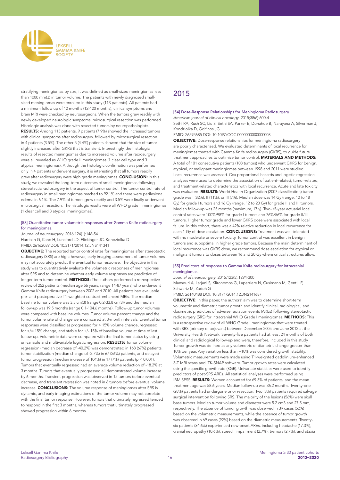

stratifying meningiomas by size, it was defined as small-sized meningiomas less than 1000 mm(3) in tumor volume. The patients with newly diagnosed smallsized meningiomas were enrolled in this study (113 patients). All patients had a minimum follow up of 12 months (12-120 months), clinical symptoms and brain MRI were checked by neurosurgeons. When the tumors grew readily with newly developed neurologic symptoms, microsurgical resection was performed. Histologic analysis was done with resected tumors by neuropathologists. RESULTS: Among 113 patients, 9 patients (7.9%) showed the increased tumors with clinical symptoms after radiosurgery, followed by microsurgical resection in 4 patients (3.5%). The other 5 (4.4%) patients showed that the size of tumor slightly increased after GKRS that is transient. Interestingly, the histologic results of resected meningiomas due to increased volume after radiosurgery were all revealed as WHO grade II meningiomas (1 clear cell type and 3 atypical meningiomas). Although the histologic confirmation was performed only in 4 patients underwent surgery, it is interesting that all tumors readily grew after radiosurgery were high grade meningiomas. CONCLUSION: In this study, we revealed the long-term outcomes of small meningiomas following stereotactic radiosurgery in the aspect of tumor control. The tumor control rate of radiosurgery in small meningiomas reached to 92.1% and there were perilesional edema in 6.1%. The 7.9% of tumors grew readily and 3.5% were finally underwent microsurgical resection. The histologic results were all WHO grade II meningiomas (1 clear cell and 3 atypical meningiomas).

## [53] Quantitative tumor volumetric responses after Gamma Knife radiosurgery for meningiomas.

*Journal of neurosurgery*. 2016;124(1):146-54 Harrison G, Kano H, Lunsford LD, Flickinger JC, Kondziolka D PMID: 26162039 DOI: 10.3171/2014.12.JNS141341

OBJECTIVE: The reported tumor control rates for meningiomas after stereotactic radiosurgery (SRS) are high; however, early imaging assessment of tumor volumes may not accurately predict the eventual tumor response. The objective in this study was to quantitatively evaluate the volumetric responses of meningiomas after SRS and to determine whether early volume responses are predictive of longer-term tumor control. **METHODS:** The authors performed a retrospective review of 252 patients (median age 56 years, range 14-87 years) who underwent Gamma Knife radiosurgery between 2002 and 2010. All patients had evaluable pre- and postoperative T1-weighted contrast-enhanced MRIs. The median baseline tumor volume was 3.5 cm(3) (range 0.2-33.8 cm(3)) and the median follow-up was 19.5 months (range 0.1-104.6 months). Follow-up tumor volumes were compared with baseline volumes. Tumor volume percent change and the tumor volume rate of change were compared at 3-month intervals. Eventual tumor responses were classified as progressed for > 15% volume change, regressed for </= 15% change, and stable for +/- 15% of baseline volume at time of last follow-up. Volumetric data were compared with the final tumor status by using univariable and multivariable logistic regression. RESULTS: Tumor volume regression (median decrease of -40.2%) was demonstrated in 168 (67%) patients, tumor stabilization (median change of -2.7%) in 67 (26%) patients, and delayed tumor progression (median increase of 104%) in 17 (7%) patients (p < 0.001). Tumors that eventually regressed had an average volume reduction of -18.2% at 3 months. Tumors that eventually progressed all demonstrated volume increase by 6 months. Transient progression was observed in 15 tumors before eventual decrease, and transient regression was noted in 6 tumors before eventual volume increase. CONCLUSIONS: The volume response of meningiomas after SRS is dynamic, and early imaging estimations of the tumor volume may not correlate with the final tumor response. However, tumors that ultimately regressed tended to respond in the first 3 months, whereas tumors that ultimately progressed showed progression within 6 months.

# 2015

#### [54] Dose-Response Relationships for Meningioma Radiosurgery.

*American journal of clinical oncology*. 2015;38(6):600-4

Sethi RA, Rush SC, Liu S, Sethi SA, Parker E, Donahue B, Narayana A, Silverman J, Kondziolka D, Golfinos JG

PMID: 26595685 DOI: 10.1097/COC.0000000000000008

OBJECTIVE: Dose-response relationships for meningioma radiosurgery are poorly characterized. We evaluated determinants of local recurrence for meningiomas treated with Gamma Knife radiosurgery (GKRS), to guide future treatment approaches to optimize tumor control. MATERIALS AND METHODS: A total of 101 consecutive patients (108 tumors) who underwent GKRS for benign, atypical, or malignant meningiomas between 1998 and 2011 were studied. Local recurrence was assessed. Cox proportional hazards and logistic regression analyses were used to determine the association of patient-related, tumor-related, and treatment-related characteristics with local recurrence. Acute and late toxicity was evaluated. RESULTS: World Health Organization (2007 classification) tumor grade was I (82%), II (11%), or III (7%). Median dose was 14 Gy (range, 10 to 18 Gy) for grade I tumors and 16 Gy (range, 12 to 20 Gy) for grade II and III tumors. Median follow-up was 25 months (maximum, 17 y). Two- /5-year actuarial local control rates were 100%/98% for grade I tumors and 76%/56% for grade II/III tumors. Higher tumor grade and lower GKRS dose were associated with local failure. In this cohort, there was a 42% relative reduction in local recurrence for each 1 Gy of dose escalation. **CONCLUSIONS:** Treatment was well tolerated with no moderate or severe toxicity. Tumor control was excellent in benign tumors and suboptimal in higher grade tumors. Because the main determinant of local recurrence was GKRS dose, we recommend dose escalation for atypical or malignant tumors to doses between 16 and 20 Gy where critical structures allow.

#### [55] Predictors of response to Gamma Knife radiosurgery for intracranial meningiomas.

#### *Journal of neurosurgery*. 2015;123(5):1294-300

Mansouri A, Larjani S, Klironomos G, Laperriere N, Cusimano M, Gentili F, Schwartz M, Zadeh G

PMID: 26140488 DOI: 10.3171/2014.12.JNS141687

OBJECTIVE: In this paper, the authors' aim was to determine short-term volumetric and diametric tumor growth and identify clinical, radiological, and dosimetric predictors of adverse radiation events (AREs) following stereotactic radiosurgery (SRS) for intracranial WHO Grade I meningiomas. METHODS: This is a retrospective review of all WHO Grade I meningiomas that were treated with SRS (primary or adjuvant) between December 2005 and June 2012 at the University Health Network. Seventy-five patients had at least 24 months of both clinical and radiological follow-up and were, therefore, included in this study. Tumor growth was defined as any volumetric or diametric change greater than 10% per year. Any variation less than +10% was considered growth stability. Volumetric measurements were made using T1-weighted gadolinium-enhanced 3-T MRI scans and ITK-SNAP software. Tumor growth rates were calculated using the specific growth rate (SGR). Univariate statistics were used to identify predictors of post-SRS AREs. All statistical analyses were performed using IBM SPSS. RESULTS: Women accounted for 69.3% of patients, and the mean treatment age was 58.6 years. Median follow-up was 36.2 months. Twenty-one (28%) patients had undergone prior resection. Two (3%) patients required salvage surgical intervention following SRS. The majority of the lesions (56%) were skull base tumors. Median tumor volume and diameter were 5.2 cm3 and 27.5 mm, respectively. The absence of tumor growth was observed in 39 cases (52%) based on the volumetric measurements, while the absence of tumor growth was observed in 69 cases (92%) based on the diametric measurements. Twentysix patients (34.6%) experienced new-onset AREs, including headache (17.3%), cranial neuropathy (10.6%), speech impairment (2.7%), tremors (2.7%), and ataxia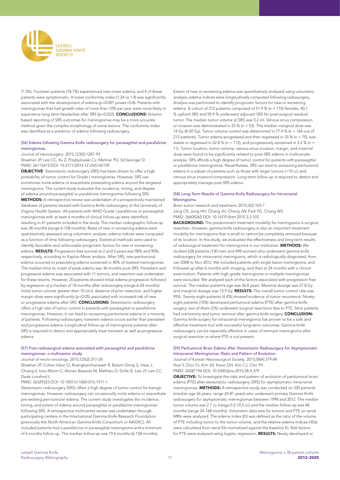

(1.3%). Fourteen patients (18.7%) experienced new-onset edema, and 4 of these patients were symptomatic. A lower conformity index (1.24 vs 1.4) was significantly associated with the development of edema (p<0.001 power>0.8). Patients with meningiomas that had growth rates of more than 10% per year were more likely to experience long-term headaches after SRS (p=0.022). CONCLUSIONS: Volumebased reporting of SRS outcomes for meningiomas may be a more accurate method given the complex morphology of some lesions. The conformity index was identified as a predictor of edema following radiosurgery.

## [56] Edema following Gamma Knife radiosurgery for parasagittal and parafalcine meningiomas.

# *Journal of neurosurgery*. 2015;123(5):1287-93

Sheehan JP, Lee CC, Xu Z, Przybylowski CJ, Melmer PD, Schlesinger D PMID: 26115473 DOI: 10.3171/2014.12.JNS142159

OBJECTIVE: Stereotactic radiosurgery (SRS) has been shown to offer a high probability of tumor control for Grade I meningiomas. However, SRS can sometimes incite edema or exacerbate preexisting edema around the targeted meningioma. The current study evaluates the incidence, timing, and degree of edema around parasagittal or parafalcine meningiomas following SRS. METHODS: A retrospective review was undertaken of a prospectively maintained database of patients treated with Gamma Knife radiosurgery at the University of Virginia Health System. All patients with WHO Grade I parafalcine or parasagittal meningiomas with at least 6 months of clinical follow-up were identified, resulting in 61 patients included in the study. The median radiographic follow-up was 28 months (range 6-158 months). Rates of new or worsening edema were quantitatively assessed using volumetric analysis; edema indices were computed as a function of time following radiosurgery. Statistical methods were used to identify favorable and unfavorable prognostic factors for new or worsening edema. RESULTS: Progression-free survival at 2 and 5 years was 98% and 90%, respectively, according to Kaplan-Meier analysis. After SRS, new peritumoral edema occurred or preexisting edema worsened in 40% of treated meningiomas. The median time to onset of peak edema was 36 months post-SRS. Persistent and progressive edema was associated with 11 tumors, and resection was undertaken for these lesions. However, 20 patients showed initial edema progression followed by regression at a median of 18 months after radiosurgery (range 6-24 months). Initial tumor volume greater than 10 cm3, absence of prior resection, and higher margin dose were significantly (p<0.05) associated with increased risk of new or progressive edema after SRS. CONCLUSIONS: Stereotactic radiosurgery offers a high rate of tumor control in patients with parasagittal or parafalcine meningiomas. However, it can lead to worsening peritumoral edema in a minority of patients. Following radiosurgery, transient edema occurs earlier than persistent and progressive edema. Longitudinal follow-up of meningioma patients after SRS is required to detect and appropriately treat transient as well as progressive edema.

#### [57] Post-radiosurgical edema associated with parasagittal and parafalcine meningiomas: a multicenter study.

*Journal of neuro-oncology*. 2015;125(2):317-24

Sheehan JP, Cohen-Inbar O, Ruangkanchanasetr R, Bulent Omay S, Hess J, Chiang V, Iorio-Morin C, Alonso-Basanta M, Mathieu D, Grills IS, Lee JY, Lee CC, Dade Lunsford L

#### PMID: 26329323 DOI: 10.1007/s11060-015-1911-1

Stereotactic radiosurgery (SRS) offers a high degree of tumor control for benign meningiomas. However, radiosurgery can occasionally incite edema or exacerbate pre-existing peri-tumoral edema. The current study investigates the incidence, timing, and extent of edema around parasagittal or parafalcine meningiomas following SRS. A retrospective multicenter review was undertaken through participating centers in the International Gamma Knife Research Foundation (previously the North American Gamma Knife Consortium or NAGKC). All included patients had a parafalcine or parasagittal meningioma and a minimum of 6 months follow up. The median follow up was 19.6 months (6-158 months).

Extent of new or worsening edema was quantitatively analyzed using volumetric analysis; edema indices were longitudinally computed following radiosurgery. Analysis was performed to identify prognostic factors for new or worsening edema. A cohort of 212 patients comprised of 51.9 % (n = 110) females, 40.1 % upfront SRS and 59.9 % underwent adjuvant SRS for post-surgical residual tumor. The median tumor volume at SRS was 5.2 ml. Venous sinus compression or invasion was demonstrated in 25 % (n = 53). The median marginal dose was 14 Gy (8-20 Gy). Tumor volume control was determined in 77.4 % (n = 164 out of 212 patients). Tumor edema progressed and then regressed in 33 % ( $n = 70$ ), was stable or regressed in 52.8 % (n = 112), and progressively worsened in 5.2 % (n = 11). Tumor location, tumor volume, venous sinus invasion, margin, and maximal dose were found to be significantly related to post-SRS edema in multivariate analysis. SRS affords a high degree of tumor control for patients with parasagittal or parafalcine meningiomas. Nevertheless, SRS can lead to worsening peritumoral edema in a subset of patients such as those with larger tumors (>10 cc) and venous sinus invasion/compression. Long-term follow up is required to detect and appropriately manage post-SRS edema.

#### [58] Long-Term Results of Gamma Knife Radiosurgery for Intracranial Meningioma.

*Brain tumor research and treatment*. 2015;3(2):103-7 Jang CK, Jung HH, Chang JH, Chang JW, Park YG, Chang WS PMID: 26605265 DOI: 10.14791/btrt.2015.3.2.103

**BACKGROUND:** The predominant treatment modality for meningioma is surgical resection. However, gamma knife radiosurgery is also an important treatment modality for meningioma that is small or cannot be completely removed because of its location. In this study, we evaluated the effectiveness and long-term results of radiosurgical treatment for meningioma in our institution. METHODS: We studied 628 patients (130 men and 498 women) who underwent gamma knife radiosurgery for intracranial meningioma, which is radiologically diagnosed, from Jan 2008 to Nov 2012. We included patients with single lesion meningioma, and followed up after 6 months with imaging, and then at 24 months with a clinical examination. Patients with high-grade meningioma or multiple meningiomas were excluded. We analyzed each of the factors associated with progression free survival. The median patient's age was 56.8 years. Maximal dosage was 27.8 Gy and marginal dosage was 13.9 Gy. RESULTS: The overall tumor control rate was 95%. Twenty-eight patients (4.4%) showed evidence of tumor recurrence. Ninetyeight patients (15%) developed peritumoral edema (PTE) after gamma-knife surgery; two of them (2%) underwent surgical resections due to PTE. Nine patients had craniotomy and tumor removal after gamma knife surgery. CONCLUSION: Gamma knife surgery for intracranial meningioma has proven to be a safe and effective treatment tool with successful long-term outcomes. Gamma knife radiosurgery can be especially effective in cases of remnant meningioma after surgical resection or where PTE is not present.

#### [59] Peritumoral Brain Edema after Stereotactic Radiosurgery for Asymptomatic Intracranial Meningiomas: Risks and Pattern of Evolution.

*Journal of Korean Neurosurgical Society*. 2015;58(4):379-84 Hoe Y, Choi YJ, Kim JH, Kwon DH, Kim CJ, Cho YH PMID: 26587194 DOI: 10.3340/jkns.2015.58.4.379

OBJECTIVE: To investigate the risks and pattern of evolution of peritumoral brain edema (PTE) after stereotactic radiosurgery (SRS) for asymptomatic intracranial meningiomas. METHODS: A retrospective study was conducted on 320 patients (median age 56 years, range 24-87 years) who underwent primary Gamma Knife radiosurgery for asymptomatic meningiomas between 1998 and 2012. The median tumor volume was 2.7 cc (range 0.2-10.5 cc) and the median follow-up was 48 months (range 24-168 months). Volumetric data sets for tumors and PTE on serial MRIs were analyzed. The edema index (EI) was defined as the ratio of the volume of PTE including tumor to the tumor volume, and the relative edema indices (rEIs) were calculated from serial EIs normalized against the baseline EI. Risk factors for PTE were analyzed using logistic regression. RESULTS: Newly developed or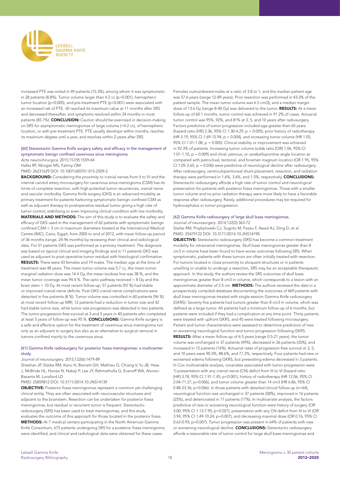

increased PTE was noted in 49 patients (15.3%), among whom it was symptomatic in 28 patients (8.8%). Tumor volume larger than 4.2 cc (p<0.001), hemispheric tumor location (p=0.005), and pre-treatment PTE (p<0.001) were associated with an increased risk of PTE. rEI reached its maximum value at 11 months after SRS and decreased thereafter, and symptoms resolved within 24 months in most patients (85.7%). CONCLUSION: Caution should be exercised in decision-making on SRS for asymptomatic meningiomas of large volume (>4.2 cc), of hemispheric location, or with pre-treatment PTE. PTE usually develops within months, reaches its maximum degree until a year, and resolves within 2 years after SRS.

#### [60] Stereotactic Gamma Knife surgery safety and efficacy in the management of symptomatic benign confined cavernous sinus meningioma.

*Acta neurochirurgica*. 2015;157(9):1559-64

Hafez RF, Morgan MS, Fahmy OM

PMID: 26231629 DOI: 10.1007/s00701-015-2509-2

BACKGROUND: Considering the proximity to cranial nerves from II to VI and the internal carotid artery microsurgery for cavernous sinus meningioma (CSM) has its limits of complete resection, with high potential tumor recurrences, cranial nerve and vascular morbidity. Gamma Knife surgery (GKS) is an advanced modality as primary treatment for patients harboring symptomatic benign confined CSM as well as adjuvant therapy to postoperative residual tumor giving a high rate of tumor control, stabilizing or even improving clinical condition with low morbidity. MATERIALS AND METHODS: The aim of this study is to evaluate the safety and efficacy of GKS used in the management of 62 patients with symptomatic benign confined CSM < 3 cm in maximum diameters treated at the International Medical Centre (IMC), Cairo, Egypt, from 2005 to end of 2012, with mean follow-up period of 36 months (range, 24-96 months) by reviewing their clinical and radiological data. For 51 patients GKS was performed as a primary treatment. The diagnosis was based on typical clinical and imaging findings and in 11 patients GKS was used as adjuvant to post-operative tumor residual with histological confirmation. RESULTS: There were 43 females and 19 males. The median age at the time of treatment was 48 years. The mean tumor volume was 5.7 cc, the mean tumor marginal radiation dose was 14.4 Gy, the mean isodose line was 38 %, and the mean tumor coverage was 94.4 %. The optic pathway received < 8 Gy and the brain stem < 10 Gy. At most recent follow-up, 57 patients (92 %) had stable or improved cranial nerve deficits. Post-GKS cranial nerve complications were detected in five patients (8 %). Tumor volume was controlled in 60 patients (96 %) at most recent follow-up MRI; 12 patients had a reduction in tumor size and 42 had stable tumor size, while tumor size progression was detected in two patients. The tumor progression-free survival at 3 and 5 years in 40 patients who completed at least 5 years of follow-up was 95 %. CONCLUSIONS: Gamma Knife surgery is a safe and effective option for the treatment of cavernous sinus meningioma not only as an adjuvant to surgery but also as an alternative to surgical removal in tumors confined mainly to the cavernous sinus.

#### [61] Gamma Knife radiosurgery for posterior fossa meningiomas: a multicenter study.

#### *Journal of neurosurgery*. 2015;122(6):1479-89

Sheehan JP, Starke RM, Kano H, Barnett GH, Mathieu D, Chiang V, Yu JB, Hess J, McBride HL, Honea N, Nakaji P, Lee JY, Rahmathulla G, Evanoff WA, Alonso-Basanta M, Lunsford LD

#### PMID: 25859812 DOI: 10.3171/2014.10.JNS14139

OBJECTIVE: Posterior fossa meningiomas represent a common yet challenging clinical entity. They are often associated with neurovascular structures and adjacent to the brainstem. Resection can be undertaken for posterior fossa meningiomas, but residual or recurrent tumor is frequent. Stereotactic radiosurgery (SRS) has been used to treat meningiomas, and this study evaluates the outcome of this approach for those located in the posterior fossa. METHODS: At 7 medical centers participating in the North American Gamma Knife Consortium, 675 patients undergoing SRS for a posterior fossa meningioma were identified, and clinical and radiological data were obtained for these cases.

Females outnumbered males at a ratio of 3.8 to 1, and the median patient age was 57.6 years (range 12-89 years). Prior resection was performed in 43.3% of the patient sample. The mean tumor volume was 6.5 cm(3), and a median margin dose of 13.6 Gy (range 8-40 Gy) was delivered to the tumor. RESULTS: At a mean follow-up of 60.1 months, tumor control was achieved in 91.2% of cases. Actuarial tumor control was 95%, 92%, and 81% at 3, 5, and 10 years after radiosurgery. Factors predictive of tumor progression included age greater than 65 years (hazard ratio [HR] 2.36, 95% CI 1.30-4.29, p = 0.005), prior history of radiotherapy (HR 5.19, 95% CI 1.69-15.94, p = 0.004), and increasing tumor volume (HR 1.05, 95% CI 1.01-1.08, p = 0.005). Clinical stability or improvement was achieved in 92.3% of patients. Increasing tumor volume (odds ratio [OR] 1.06, 95% CI 1.01-1.10,  $p = 0.009$ ) and clival, petrous, or cerebellopontine angle location as compared with petroclival, tentorial, and foramen magnum location (OR 1.95, 95% CI 1.05-3.65,  $p = 0.036$ ) were predictive of neurological decline after radiosurgery. After radiosurgery, ventriculoperitoneal shunt placement, resection, and radiation therapy were performed in 1.6%, 3.6%, and 1.5%, respectively. **CONCLUSIONS:** Stereotactic radiosurgery affords a high rate of tumor control and neurological preservation for patients with posterior fossa meningiomas. Those with a smaller tumor volume and no prior radiation therapy were more likely to have a favorable response after radiosurgery. Rarely, additional procedures may be required for hydrocephalus or tumor progression.

#### [62] Gamma Knife radiosurgery of large skull base meningiomas.

*Journal of neurosurgery*. 2014;122(2):363-72

Starke RM, Przybylowski CJ, Sugoto M, Fezeu F, Awad AJ, Ding D, et al. PMID: 25479122 DOI: 10.3171/2014.10.JNS14198

OBJECTIVE: Stereotactic radiosurgery (SRS) has become a common treatment modality for intracranial meningiomas. Skull base meningiomas greater than 8 cm3 in volume have been found to have worse outcomes following SRS. When symptomatic, patients with these tumors are often initially treated with resection. For tumors located in close proximity to eloquent structures or in patients unwilling or unable to undergo a resection, SRS may be an acceptable therapeutic approach. In this study, the authors review the SRS outcomes of skull base meningiomas greater than 8 cm3 in volume, which corresponds to a lesion with an approximate diameter of 2.5 cm. METHODS: The authors reviewed the data in a prospectively compiled database documenting the outcomes of 469 patients with skull base meningiomas treated with single-session Gamma Knife radiosurgery (GKRS). Seventy-five patients had tumors greater than 8 cm3 in volume, which was defined as a large tumor. All patients had a minimum follow-up of 6 months, but patients were included if they had a complication at any time point. Thirty patients were treated with upfront GKRS, and 45 were treated following microsurgery. Patient and tumor characteristics were assessed to determine predictors of new or worsening neurological function and tumor progression following GKRS. RESULTS: After a mean follow-up of 6.5 years (range 0.5-21 years), the tumor volume was unchanged in 37 patients (49%), decreased in 26 patients (35%), and increased in 12 patients (16%). Actuarial rates of progression-free survival at 3, 5, and 10 years were 90.3%, 88.6%, and 77.2%, respectively. Four patients had new or worsened edema following GKRS, but preexisting edema decreased in 3 patients. In Cox multivariable analysis, covariates associated with tumor progression were 1) presentation with any cranial nerve (CN) deficit from III to VI (hazard ratio [HR] 3.78, 95% CI 1.91-7.45; p<0.001), history of radiotherapy (HR 12.06, 95% CI 2.04-71.27; p=0.006), and tumor volume greater than 14 cm3 (HR 6.86, 95% CI 0.88-53.36; p=0.066). In those patients with detailed clinical follow-up (n=64), neurological function was unchanged in 37 patients (58%), improved in 16 patients (25%), and deteriorated in 11 patients (17%). In multivariate analysis, the factors predictive of new or worsening neurological function were history of surgery (OR 3.00, 95% CI 1.13-7.95; p=0.027), presentation with any CN deficit from III to VI (OR 3.94, 95% CI 1.49-10.24; p=0.007), and decreasing maximal dose (OR 0.76, 95% CI 0.63-0.93; p=0.007). Tumor progression was present in 64% of patients with new or worsening neurological decline. **CONCLUSIONS:** Stereotactic radiosurgery affords a reasonable rate of tumor control for large skull base meningiomas and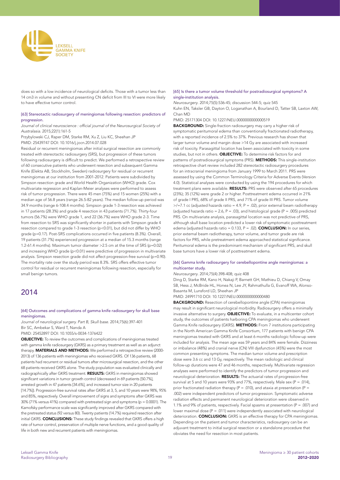

does so with a low incidence of neurological deficits. Those with a tumor less than 14 cm3 in volume and without presenting CN deficit from III to VI were more likely to have effective tumor control.

#### [63] Stereotactic radiosurgery of meningiomas following resection: predictors of progression.

Journal of clinical neuroscience : official journal of the Neurosurgical Society of *Australasia*. 2015;22(1):161-5

Przybylowski CJ, Raper DM, Starke RM, Xu Z, Liu KC, Sheehan JP PMID: 25439747 DOI: 10.1016/j.jocn.2014.07.028

Residual or recurrent meningiomas after initial surgical resection are commonly treated with stereotactic radiosurgery (SRS), but progression of these tumors following radiosurgery is difficult to predict. We performed a retrospective review of 60 consecutive patients who underwent resection and subsequent Gamma Knife (Elekta AB, Stockholm, Sweden) radiosurgery for residual or recurrent meningiomas at our institution from 2001-2012. Patients were subdivided by Simpson resection grade and World Health Organization (WHO) grade. Cox multivariate regression and Kaplan-Meier analyses were performed to assess risk of tumor progression. There were 45 men (75%) and 15 women (25%) with a median age of 56.8 years (range 26.5-82 years). The median follow-up period was 34.9 months (range 6-108.4 months). Simpson grade 1-3 resection was achieved in 17 patients (28.3%) and grade 4 resection in 43 patients (71.7%). Thirty-four tumors (56.7%) were WHO grade 1, and 22 (36.7%) were WHO grade 2-3. Time from resection to SRS was significantly shorter in patients with Simpson grade 4 resection compared to grade 1-3 resection (p<0.01), but did not differ by WHO grade (p=0.17). Post-SRS complications occurred in five patients (8.3%). Overall, 19 patients (31.7%) experienced progression at a median of 15.3 months (range 1.2-61.4 months). Maximum tumor diameter >2.5 cm at the time of SRS (p=0.02) and increasing WHO grade (p<0.01) were predictive of progression in multivariate analysis. Simpson resection grade did not affect progression-free survival (p=0.90). The mortality rate over the study period was 8.3%. SRS offers effective tumor control for residual or recurrent meningiomas following resection, especially for small benign tumors.

# 2014

#### [64] Outcomes and complications of gamma knife radiosurgery for skull base meningiomas.

*Journal of neurological surgery. Part B, Skull base*. 2014;75(6):397-401 Bir SC, Ambekar S, Ward T, Nanda A

PMID: 25452897 DOI: 10.1055/s-0034-1376422

OBJECTIVE: To review the outcomes and complications of meningiomas treated with gamma knife radiosurgery (GKRS) as a primary treatment as well as an adjunct therapy. **MATERIALS AND METHODS:** We performed a retrospective review (2000-2013) of 136 patients with meningiomas who received GKRS. Of 136 patients, 68 patients had recurrent or residual tumors after microsurgical resection, and the other 68 patients received GKRS alone. The study population was evaluated clinically and radiographically after GKRS treatment. RESULTS: GKRS in meningiomas showed significant variations in tumor growth control (decreased in 69 patients [50.7%], arrested growth in 47 patients [34.6%], and increased tumor size in 20 patients [14.7%]). Progression-free survival rates after GKRS at 3, 5, and 10 years were 98%, 95% and 85%, respectively. Overall improvement of signs and symptoms after GKRS was 30% (71% versus 41%) compared with pretreated sign and symptoms (p = 0.0001). The Karnofsky performance scale was significantly improved after GKRS compared with the pretreated status (92 versus 80). Twenty patients (14.7%) required resection after initial GKRS. CONCLUSIONS: These study findings revealed that GKRS offers a high rate of tumor control, preservation of multiple nerve functions, and a good quality of life in both new and recurrent patients with meningiomas.

#### [65] Is there a tumor volume threshold for postradiosurgical symptoms? A single-institution analysis.

*Neurosurgery*. 2014;75(5):536-45; discussion 544-5; quiz 545 Kuhn EN, Taksler GB, Dayton O, Loganathan A, Bourland D, Tatter SB, Laxton AW, Chan MD

PMID: 25171304 DOI: 10.1227/NEU.0000000000000519

**BACKGROUND:** Single-fraction radiosurgery may carry a higher risk of symptomatic peritumoral edema than conventionally fractionated radiotherapy, with a reported incidence of 2.5% to 37%. Previous research has shown that larger tumor volume and margin dose >14 Gy are associated with increased risk of toxicity. Parasagittal location has been associated with toxicity in some studies, but not in others. OBJECTIVE: To determine risk factors for and patterns of postradiosurgical symptoms (PRS). METHODS: This single-institution retrospective chart review included 282 stereotactic radiosurgery procedures for an intracranial meningioma from January 1999 to March 2011. PRS were assessed by using the Common Terminology Criteria for Adverse Events (Version 4.0). Statistical analyses were conducted by using the 194 procedures for which treatment plans were available. RESULTS: PRS were observed after 65 procedures (23%); 35 (12%) were grade 2 or higher. Posttreatment edema occurred in 21% of grade I PRS, 68% of grade II PRS, and 71% of grade III PRS. Tumor volume  $>$ /=7.1 cc (adjusted hazards ratio = 4.9, P = .02), prior external beam radiotherapy (adjusted hazards ratio = 2.6,  $P = .03$ ), and histological grade ( $P = .005$ ) predicted PRS. On multivariate analysis, parasagittal location was not predictive of PRS, although skull base location predicted a lower risk of symptomatic posttreatment edema (adjusted hazards ratio =  $0.133$ ,  $P = .02$ ). **CONCLUSION:** In our series, prior external beam radiotherapy, tumor volume, and tumor grade are risk factors for PRS, while pretreatment edema approached statistical significance. Peritumoral edema is the predominant mechanism of significant PRS, and skull base tumors have a lower risk of posttreatment edema.

#### [66] Gamma knife radiosurgery for cerebellopontine angle meningiomas: a multicenter study.

#### *Neurosurgery*. 2014;75(4):398-408; quiz 408

Ding D, Starke RM, Kano H, Nakaji P, Barnett GH, Mathieu D, Chiang V, Omay SB, Hess J, McBride HL, Honea N, Lee JY, Rahmathulla G, Evanoff WA, Alonso-Basanta M, Lunsford LD, Sheehan JP

PMID: 24991710 DOI: 10.1227/NEU.0000000000000480

BACKGROUND: Resection of cerebellopontine angle (CPA) meningiomas may result in significant neurological morbidity. Radiosurgery offers a minimally invasive alternative to surgery. OBJECTIVE: To evaluate, in a multicenter cohort study, the outcomes of patients harboring CPA meningiomas who underwent Gamma Knife radiosurgery (GKRS). METHODS: From 7 institutions participating in the North American Gamma Knife Consortium, 177 patients with benign CPA meningiomas treated with GKRS and at least 6 months radiologic follow-up were included for analysis. The mean age was 59 years and 84% were female. Dizziness or imbalance (48%) and cranial nerve (CN) VIII dysfunction (45%) were the most common presenting symptoms. The median tumor volume and prescription dose were 3.6 cc and 13 Gy, respectively. The mean radiologic and clinical follow-up durations were 47 and 46 months, respectively. Multivariate regression analyses were performed to identify the predictors of tumor progression and neurological deterioration. **RESULTS:** The actuarial rates of progression-free survival at 5 and 10 years were 93% and 77%, respectively. Male sex (P = .014), prior fractionated radiation therapy ( $P = .010$ ), and ataxia at presentation ( $P =$ .002) were independent predictors of tumor progression. Symptomatic adverse radiation effects and permanent neurological deterioration were observed in 1.1% and 9% of patients, respectively. Facial spasms at presentation ( $P = .007$ ) and lower maximal dose  $(P = .011)$  were independently associated with neurological deterioration. **CONCLUSION:** GKRS is an effective therapy for CPA meningiomas. Depending on the patient and tumor characteristics, radiosurgery can be an adjuvant treatment to initial surgical resection or a standalone procedure that obviates the need for resection in most patients.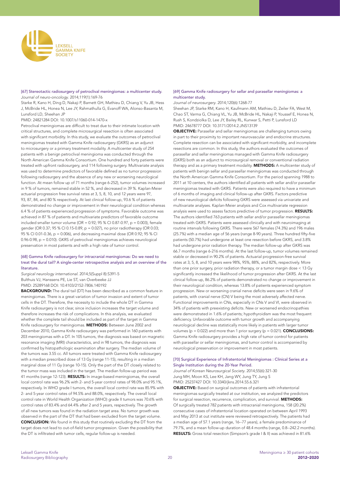

#### [67] Stereotactic radiosurgery of petroclival meningiomas: a multicenter study. *Journal of neuro-oncology*. 2014;119(1):169-76

Starke R, Kano H, Ding D, Nakaji P, Barnett GH, Mathieu D, Chiang V, Yu JB, Hess J, McBride HL, Honea N, Lee JY, Rahmathulla G, Evanoff WA, Alonso-Basanta M, Lunsford LD, Sheehan JP

PMID: 24821284 DOI: 10.1007/s11060-014-1470-x

Petroclival meningiomas are difficult to treat due to their intimate location with critical structures, and complete microsurgical resection is often associated with significant morbidity. In this study, we evaluate the outcomes of petroclival meningiomas treated with Gamma Knife radiosurgery (GKRS) as an adjunct to microsurgery or a primary treatment modality. A multicenter study of 254 patients with a benign petroclival meningioma was conducted through the North American Gamma Knife Consortium. One hundred and forty patients were treated with upfront radiosurgery, and 114 following surgery. Multivariate analysis was used to determine predictors of favorable defined as no tumor progression following radiosurgery and the absence of any new or worsening neurological function. At mean follow up of 71 months (range 6-252), tumor volumes increased in 9 % of tumors, remained stable in 52 %, and decreased in 39 %. Kaplan-Meier actuarial progression free survival rates at 3, 5, 8, 10, and 12 years were 97 93, 87, 84, and 80 % respectively. At last clinical follow-up, 93.6 % of patients demonstrated no change or improvement in their neurological condition whereas 6.4 % of patients experienced progression of symptoms. Favorable outcome was achieved in 87 % of patients and multivariate predictors of favorable outcome included smaller tumor volume (OR = 0.92; 95 % CI 0.87-0.97, p = 0.003), female gender (OR 0.37; 95 % CI 0.15-0.89, p = 0.027), no prior radiotherapy (OR 0.03; 95 % CI 0.01-0.36, p = 0.006), and decreasing maximal dose (OR 0.92; 95 % CI 0.96-0.98, p = 0.010). GKRS of petroclival meningiomas achieves neurological preservation in most patients and with a high rate of tumor control.

#### [68] Gamma Knife radiosurgery for intracranial meningiomas: Do we need to treat the dural tail? A single-center retrospective analysis and an overview of the literature.

*Surgical neurology international*. 2014;5(Suppl 8):S391-5 Bulthuis VJ, Hanssens PE, Lie ST, van Overbeeke JJ PMID: 25289168 DOI: 10.4103/2152-7806.140192

BACKGROUND: The dural tail (DT) has been described as a common feature in meningiomas. There is a great variation of tumor invasion and extent of tumor cells in the DT. Therefore, the necessity to include the whole DT in Gamma Knife radiosurgery is not clear, since inclusion increases the target volume and therefore increases the risk of complications. In this analysis, we evaluated whether the complete tail should be included as part of the target in Gamma Knife radiosurgery for meningiomas. METHODS: Between June 2002 and December 2010, Gamma Knife radiosurgery was performed in 160 patients with 203 meningiomas with a DT. In 105 tumors, the diagnosis was based on magnetic resonance imaging (MRI) characteristics, and in 98 tumors, the diagnosis was confirmed by histopathologic examination after surgery. The median volume of the tumors was 3.55 cc. All tumors were treated with Gamma Knife radiosurgery with a median prescribed dose of 13 Gy (range 11-15), resulting in a median marginal dose of 11 Gy (range 10-15). Only the part of the DT closely related to the tumor mass was included in the target. The median follow-up period was 41 months (range 12-123). RESULTS: In image-based meningiomas, the overall local control rate was 96.2% with 2- and 5-year control rates of 98.0% and 95.1%, respectively. In WHO grade I tumors, the overall local control rate was 85.9% with 2- and 5-year control rates of 94.5% and 88.0%, respectively. The overall local control rate in World Health Organization (WHO) grade II tumors was 70.6% with control rates of 83.4% and 64.4% after 2 and 5 years, respectively. The growth of all new tumors was found in the radiation target area. No tumor growth was observed in the part of the DT that had been excluded from the target volume. CONCLUSION: We found in this study that routinely excluding the DT from the target does not lead to out-of-field tumor progression. Given the possibility that the DT is infiltrated with tumor cells, regular follow-up is needed.

#### [69] Gamma Knife radiosurgery for sellar and parasellar meningiomas: a multicenter study.

*Journal of neurosurgery*. 2014;120(6):1268-77

Sheehan JP, Starke RM, Kano H, Kaufmann AM, Mathieu D, Zeiler FA, West M, Chao ST, Varma G, Chiang VL, Yu JB, McBride HL, Nakaji P, Youssef E, Honea N, Rush S, Kondziolka D, Lee JY, Bailey RL, Kunwar S, Petti P, Lunsford LD PMID: 24678777 DOI: 10.3171/2014.2.JNS13139

OBJECTIVE: Parasellar and sellar meningiomas are challenging tumors owing in part to their proximity to important neurovascular and endocrine structures. Complete resection can be associated with significant morbidity, and incomplete resections are common. In this study, the authors evaluated the outcomes of parasellar and sellar meningiomas managed with Gamma Knife radiosurgery (GKRS) both as an adjunct to microsurgical removal or conventional radiation therapy and as a primary treatment modality. **METHODS:** A multicenter study of patients with benign sellar and parasellar meningiomas was conducted through the North American Gamma Knife Consortium. For the period spanning 1988 to 2011 at 10 centers, the authors identified all patients with sellar and/or parasellar meningiomas treated with GKRS. Patients were also required to have a minimum of 6 months of imaging and clinical follow-up after GKRS. Factors predictive of new neurological deficits following GKRS were assessed via univariate and multivariate analyses. Kaplan-Meier analysis and Cox multivariate regression analysis were used to assess factors predictive of tumor progression. RESULTS: The authors identified 763 patients with sellar and/or parasellar meningiomas treated with GKRS. Patients were assessed clinically and with neuroimaging at routine intervals following GKRS. There were 567 females (74.3%) and 196 males (25.7%) with a median age of 56 years (range 8-90 years). Three hundred fifty-five patients (50.7%) had undergone at least one resection before GKRS, and 3.8% had undergone prior radiation therapy. The median follow-up after GKRS was 66.7 months (range 6-216 months). At the last follow-up, tumor volumes remained stable or decreased in 90.2% of patients. Actuarial progression-free survival rates at 3, 5, 8, and 10 years were 98%, 95%, 88%, and 82%, respectively. More than one prior surgery, prior radiation therapy, or a tumor margin dose < 13 Gy significantly increased the likelihood of tumor progression after GKRS. At the last clinical follow-up, 86.2% of patients demonstrated no change or improvement in their neurological condition, whereas 13.8% of patients experienced symptom progression. New or worsening cranial nerve deficits were seen in 9.6% of patients, with cranial nerve (CN) V being the most adversely affected nerve. Functional improvements in CNs, especially in CNs V and VI, were observed in 34% of patients with preexisting deficits. New or worsened endocrinopathies were demonstrated in 1.6% of patients; hypothyroidism was the most frequent deficiency. Unfavorable outcome with tumor growth and accompanying neurological decline was statistically more likely in patients with larger tumor volumes ( $p = 0.022$ ) and more than 1 prior surgery ( $p = 0.021$ ). **CONCLUSIONS:** Gamma Knife radiosurgery provides a high rate of tumor control for patients with parasellar or sellar meningiomas, and tumor control is accompanied by neurological preservation or improvement in most patients.

#### [70] Surgical Experience of Infratentorial Meningiomas : Clinical Series at a Single Institution during the 20-Year Period.

*Journal of Korean Neurosurgical Society*. 2014;55(6):321-30 Jung MH, Moon KS, Lee KH, Jang WY, Jung TY, Jung S PMID: 25237427 DOI: 10.3340/jkns.2014.55.6.321

OBJECTIVE: Based on surgical outcomes of patients with infratentorial meningiomas surgically treated at our institution, we analyzed the predictors for surgical resection, recurrence, complication, and survival. METHODS: Of surgically treated 782 patients with intracranial meningioma, 158 (20.2%) consecutive cases of infratentorial location operated on between April 1993 and May 2013 at out institute were reviewed retrospectively. The patients had a median age of 57.1 years (range, 16--77 years), a female predominance of 79.7%, and a mean follow-up duration of 48.4 months (range, 0.8--242.2 months). RESULTS: Gross total resection (Simpson's grade I & II) was achieved in 81.6%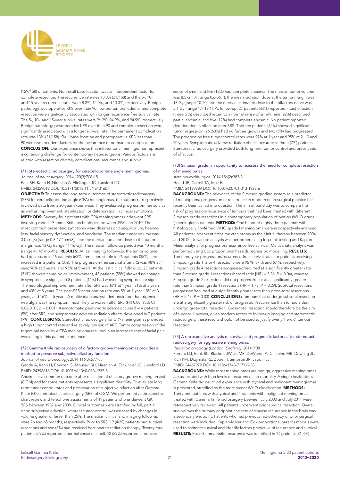

(129/158) of patients. Non-skull base location was an independent factor for complete resection. The recurrence rate was 13.3% (21/158) and the 5-, 10-, and 15-year recurrence rates were 8.2%, 12.0%, and 13.3%, respectively. Benign pathology, postoperative KPS over than 90, low peritumoral edema, and complete resection were significantly associated with longer recurrence-free survival rate. The 5-, 10-, and 15-year survival rates were 96.2%, 94.9%, and 94.9%, respectively. Benign pathology, postoperative KPS over than 90 and complete resection were significantly associated with a longer survival rate. The permanent complication rate was 13% (21/158). Skull base location and postoperative KPS less than 90 were independent factors for the occurrence of permanent complication. CONCLUSION: Our experience shows that infratentorial meningiomas represent a continuing challenge for contemporary neurosurgeons. Various factors are related with resection degree, complications, recurrence and survival.

## [71] Stereotactic radiosurgery for cerebellopontine angle meningiomas. *Journal of neurosurgery*. 2014;120(3):708-15

Park SH, Kano H, Niranjan A, Flickinger JC, Lunsford LD PMID: 24329019 DOI: 10.3171/2013.11.JNS131607

OBJECTIVE: To assess the long-term outcomes of stereotactic radiosurgery (SRS) for cerebellopontine angle (CPA) meningiomas, the authors retrospectively reviewed data from a 20-year experience. They evaluated progression-free survival as well as improvement, stabilization, or deterioration in clinical symptoms. METHODS: Seventy-four patients with CPA meningiomas underwent SRS involving various Gamma Knife technologies between 1990 and 2010. The most common presenting symptoms were dizziness or disequilibrium, hearing loss, facial sensory dysfunction, and headache. The median tumor volume was 3.0 cm(3) (range 0.3-17.1 cm(3)), and the median radiation dose to the tumor margin was 13 Gy (range 11-16 Gy). The median follow-up period was 40 months (range 4-147 months). RESULTS: At last imaging follow-up, the tumor volume had decreased in 46 patients (62%), remained stable in 26 patients (35%), and increased in 2 patients (3%). The progression-free survival after SRS was 98% at 1 year, 98% at 3 years, and 95% at 5 years. At the last clinical follow-up, 23 patients (31%) showed neurological improvement, 43 patients (58%) showed no change in symptoms or signs, and 8 patients (11%) had worsening symptoms or signs. The neurological improvement rate after SRS was 16% at 1 year, 31% at 3 years, and 40% at 5 years. The post-SRS deterioration rate was 5% at 1 year, 10% at 3 years, and 16% at 5 years. A multivariate analysis demonstrated that trigeminal neuralgia was the symptom most likely to worsen after SRS (HR 0.08, 95% CI 0.02-0.31; p = 0.001). Asymptomatic peritumoral edema occurred in 4 patients (5%) after SRS, and symptomatic adverse radiation effects developed in 7 patients (9%). CONCLUSIONS: Stereotactic radiosurgery for CPA meningiomas provided a high tumor control rate and relatively low risk of ARE. Tumor compression of the trigeminal nerve by a CPA meningioma resulted in an increased rate of facial pain worsening in this patient experience.

#### [72] Gamma Knife radiosurgery of olfactory groove meningiomas provides a method to preserve subjective olfactory function.

*Journal of neuro-oncology*. 2014;116(3):577-83

Gande A, Kano H, Bowden G, Mousavi SH, Niranjan A, Flickinger JC, Lunsford LD PMID: 24398616 DOI: 10.1007/s11060-013-1335-8

Anosmia is a common outcome after resection of olfactory groove meningioma(s) (OGM) and for some patients represents a significant disability. To evaluate long term tumor control rates and preservation of subjective olfaction after Gamma Knife (GK) stereotactic radiosurgery (SRS) of OGM. We performed a retrospective chart review and telephone assessments of 41 patients who underwent GK SRS between 1987 and 2008. Clinical outcomes were stratified by full, partial or no subjective olfaction, whereas tumor control was assessed by changes in volume greater or lesser than 25%. The median clinical and imaging follow-up were 76 and 65 months, respectively. Prior to SRS, 19 (46%) patients had surgical resections and two (5%) had received fractionated radiation therapy. Twenty four patients (59%) reported a normal sense of smell, 12 (29%) reported a reduced

sense of smell and five (12%) had complete anosmia. The median tumor volume was 8.5 cm(3) (range 0.6-56.1), the mean radiation dose at the tumor margin was 13 Gy (range 10-20) and the median estimated dose to the olfactory nerve was 5.1 Gy (range 1.1-18.1). At follow-up, 27 patients (66%) reported intact olfaction (three (7%) described return to a normal sense of smell), nine (22%) described partial anosmia, and five (12%) had complete anosmia. No patient reported deterioration in olfaction after SRS. Thirteen patients (32%) showed significant tumor regression, 26 (63%) had no further growth and two (5%) had progressed. The progression free tumor control rates were 97% at 1 year and 95% at 2, 10 and 20 years. Symptomatic adverse radiation effects occurred in three (7%) patients. Stereotactic radiosurgery provided both long term tumor control and preservation of olfaction.

#### [73] Simpson grade: an opportunity to reassess the need for complete resection of meningiomas.

*Acta neurochirurgica*. 2014;156(2):383-8 Heald JB, Carroll TA, Mair RJ

PMID: 24193889 DOI: 10.1007/s00701-013-1923-6

BACKGROUND: The relevance of the Simpson grading system as a predictor of meningioma progression or recurrence in modern neurosurgical practice has recently been called into question. The aim of our study was to compare the risk of progression/recurrence of tumours that had been treated with different Simpson grade resections in a contemporary population of benign (WHO grade I) meningioma patients. METHOD: One hundred eighty-three patients with histologically confirmed WHO grade I meningioma were retrospectively analysed. All patients underwent first-time craniotomy as their initial therapy between 2004 and 2012. Univariate analysis was performed using log-rank testing and Kaplan-Meier analysis for progression/recurrence-free survival. Multivariate analysis was performed using Cox proportional hazards regression modelling. RESULTS: The three-year progression/recurrence-free survival rates for patients receiving Simpson grade 1, 2 or 4 resections were 95 %, 87 % and 67 %, respectively. Simpson grade 4 resections progressed/recurred at a significantly greater rate than Simpson grade 1 resections (hazard ratio  $[HR] = 3.26$ ,  $P = 0.04$ ), whereas Simpson grade 2 resections did not progress/recur at a significantly greater rate than Simpson grade 1 resections (HR =  $1.78$ , P = 0.29). Subtotal resections progressed/recurred at a significantly greater rate than gross-total resections  $(HR = 2.47, P = 0.03)$ . **CONCLUSIONS:** Tumours that undergo subtotal resection are at a significantly greater risk of progression/recurrence than tumours that undergo gross-total resection. Gross-total resection should therefore be the aim of surgery. However, given modern access to follow-up imaging and stereotactic radiosurgery, these results should not be used to justify overly 'heroic' tumour resection.

#### [74] A retrospective analysis of survival and prognostic factors after stereotactic radiosurgery for aggressive meningiomas.

*Radiation oncology (London, England)*. 2014;9:38

Ferraro DJ, Funk RK, Blackett JW, Ju MR, DeWees TA, Chicoine MR, Dowling JL, Rich KM, Drzymala RE, Zoberi I, Simpson JR, Jaboin JJ

PMID: 24467972 DOI: 10.1186/1748-717X-9-38

BACKGROUND: While most meningiomas are benign, aggressive meningiomas are associated with high levels of recurrence and mortality. A single institution's Gamma Knife radiosurgical experience with atypical and malignant meningiomas is presented, stratified by the most recent WHO classification. METHODS: Thirty-one patients with atypical and 4 patients with malignant meningiomas treated with Gamma Knife radiosurgery between July 2000 and July 2011 were retrospectively reviewed. All patients underwent prior surgical resection. Overall survival was the primary endpoint and rate of disease recurrence in the brain was a secondary endpoint. Patients who had previous radiotherapy or prior surgical resection were included. Kaplan-Meier and Cox proportional hazards models were used to estimate survival and identify factors predictive of recurrence and survival. RESULTS: Post-Gamma Knife recurrence was identified in 11 patients (31.4%)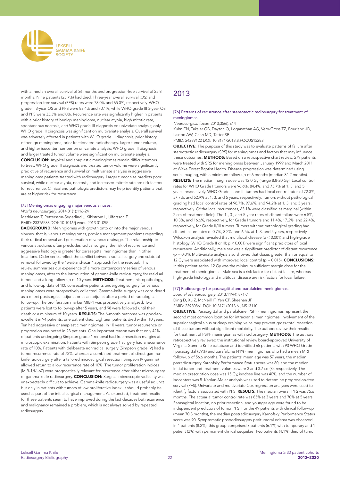

with a median overall survival of 36 months and progression-free survival of 25.8 months. Nine patients (25.7%) had died. Three-year overall survival (OS) and progression-free survival (PFS) rates were 78.0% and 65.0%, respectively. WHO grade II 3-year OS and PFS were 83.4% and 70.1%, while WHO grade III 3-year OS and PFS were 33.3% and 0%. Recurrence rate was significantly higher in patients with a prior history of benign meningioma, nuclear atypia, high mitotic rate, spontaneous necrosis, and WHO grade III diagnosis on univariate analysis; only WHO grade III diagnosis was significant on multivariate analysis. Overall survival was adversely affected in patients with WHO grade III diagnosis, prior history of benign meningioma, prior fractionated radiotherapy, larger tumor volume, and higher isocenter number on univariate analysis; WHO grade III diagnosis and larger treated tumor volume were significant on multivariate analysis. CONCLUSION: Atypical and anaplastic meningiomas remain difficult tumors to treat. WHO grade III diagnosis and treated tumor volume were significantly predictive of recurrence and survival on multivariate analysis in aggressive meningioma patients treated with radiosurgery. Larger tumor size predicts poor survival, while nuclear atypia, necrosis, and increased mitotic rate are risk factors for recurrence. Clinical and pathologic predictors may help identify patients that are at higher risk for recurrence.

#### [75] Meningiomas engaging major venous sinuses.

*World neurosurgery*. 2014;81(1):116-24

Mathiesen T, Pettersson-Segerlind J, Kihlstrom L, Ulfarsson E PMID: 23376533 DOI: 10.1016/j.wneu.2013.01.095

**BACKGROUND:** Meningiomas with growth onto or into the major venous sinuses, that is, venous meningiomas, provide management problems regarding their radical removal and preservation of venous drainage. The relationship to venous structures often precludes radical surgery; the risk of recurrence and aggressive histology is greater for parasagittal meningiomas than in other locations. Older series reflect the conflict between radical surgery and subtotal removal followed by the "wait-and-scan" approach for the residual. This review summarizes our experience of a more contemporary series of venous meningiomas, after to the introduction of gamma-knife radiosurgery, for residual tumors and a long follow-up of 10 years. METHODS: Treatment, histopathology, and follow-up data of 100 consecutive patients undergoing surgery for venous meningiomas were prospectively collected. Gamma-knife surgery was considered as a direct postsurgical adjunct or as an adjunct after a period of radiological follow-up. The proliferation marker MIB-1 was prospectively analyzed. Two patients were lost to follow-up after 5 years, and 98 were followed until their death or a minimum of 10 years. RESULTS: The 6-month outcome was good-toexcellent in 94 patients; one patient died. Eighteen patients died within 10 years. Ten had aggressive or anaplastic meningiomas. In 10 years, tumor recurrence or progression was noted in 23 patients. One important reason was that only 42% of patients undergoing Simpson grade 1 removal had free resection margins at microscopic examination. Patients with Simpson grade 1 surgery had a recurrence rate of 10%. Patients with deliberate nonradical surgery (Simpson grade IV) had a tumor recurrence rate of 72%, whereas a combined treatment of direct gammaknife radiosurgery after a tailored microsurgical resection (Simpson IV gamma) allowed return to a low recurrence rate of 10%. The tumor proliferation indices (MIB-1/Ki-67) were prognostically relevant for recurrence after either microsurgery or gamma-knife radiosurgery. **CONCLUSION:** Surgical microscopic radicality was unexpectedly difficult to achieve. Gamma-knife radiosurgery was a useful adjunct but only in patients with tumors of low proliferative index. It should probably be used as part of the initial surgical management. As expected, treatment results for these patients seem to have improved during the last decades but recurrence and malignancy remained a problem, which is not always solved by repeated radiosurgery.

# 2013

#### [76] Patterns of recurrence after stereotactic radiosurgery for treatment of meningiomas.

*Neurosurgical focus*. 2013;35(6):E14

Kuhn EN, Taksler GB, Dayton O, Loganathan AG, Vern-Gross TZ, Bourland JD, Laxton AW, Chan MD, Tatter SB

PMID: 24289122 DOI: 10.3171/2013.8.FOCUS13283

**OBJECTIVE:** The purpose of this study was to evaluate patterns of failure after stereotactic radiosurgery (SRS) for meningiomas and factors that may influence these outcomes. METHODS: Based on a retrospective chart review, 279 patients were treated with SRS for meningiomas between January 1999 and March 2011 at Wake Forest Baptist Health. Disease progression was determined using serial imaging, with a minimum follow-up of 6 months (median 34.2 months). RESULTS: The median margin dose was 12.0 Gy (range 8.8-20 Gy). Local control rates for WHO Grade I tumors were 96.6%, 84.4%, and 75.7% at 1, 3, and 5 years, respectively. WHO Grade II and III tumors had local control rates of 72.3%, 57.7%, and 52.9% at 1, 3, and 5 years, respectively. Tumors without pathological grading had local control rates of 98.7%, 97.6%, and 94.2% at 1, 3, and 5 years, respectively. Of the local recurrences, 63.1% were classified as marginal (within 2 cm of treatment field). The 1-, 3-, and 5-year rates of distant failure were 6.5%, 10.3%, and 16.6%, respectively, for Grade I tumors and 11.4%, 17.2%, and 22.4%, respectively, for Grade II/III tumors. Tumors without pathological grading had distant failure rates of 0.7%, 3.2%, and 6.5% at 1, 3, and 5 years, respectively. Wilcoxon analysis revealed that multifocal disease ( $p < 0.001$ ) and high-grade histology (WHO Grade II or III; p < 0.001) were significant predictors of local recurrence. Additionally, male sex was a significant predictor of distant recurrence  $(p = 0.04)$ . Multivariate analysis also showed that doses greater than or equal to 12 Gy were associated with improved local control ( $p = 0.015$ ). **CONCLUSIONS:** In this patient series, 12 Gy was the minimum sufficient margin dose for the treatment of meningiomas. Male sex is a risk factor for distant failure, whereas high-grade histology and multifocal disease are risk factors for local failure.

#### [77] Radiosurgery for parasagittal and parafalcine meningiomas.

*Journal of neurosurgery*. 2013;119(4):871-7 Ding D, Xu Z, McNeill IT, Yen CP, Sheehan JP PMID: 23930861 DOI: 10.3171/2013.6.JNS13110

OBJECTIVE: Parasagittal and parafalcine (PSPF) meningiomas represent the second most common location for intracranial meningiomas. Involvement of the superior sagittal sinus or deep draining veins may prevent gross-total resection of these tumors without significant morbidity. The authors review their results for treatment of PSPF meningiomas with radiosurgery. **METHODS:** The authors retrospectively reviewed the institutional review board-approved University of Virginia Gamma Knife database and identified 65 patients with 90 WHO Grade I parasagittal (59%) and parafalcine (41%) meningiomas who had a mean MRI follow-up of 56.6 months. The patients' mean age was 57 years, the median preradiosurgery Karnofsky Performance Status score was 80, and the median initial tumor and treatment volumes were 3 and 3.7 cm(3), respectively. The median prescription dose was 15 Gy, isodose line was 40%, and the number of isocenters was 5. Kaplan-Meier analysis was used to determine progression-free survival (PFS). Univariate and multivariate Cox regression analyses were used to identify factors associated with PFS. RESULTS: The median overall PFS was 75.6 months. The actuarial tumor control rate was 85% at 3 years and 70% at 5 years. Parasagittal location, no prior resection, and younger age were found to be independent predictors of tumor PFS. For the 49 patients with clinical follow-up (mean 70.8 months), the median postradiosurgery Karnofsky Performance Status score was 90. Symptomatic postradiosurgery peritumoral edema was observed in 4 patients (8.2%); this group comprised 3 patients (6.1%) with temporary and 1 patient (2%) with permanent clinical sequelae. Two patients (4.1%) died of tumor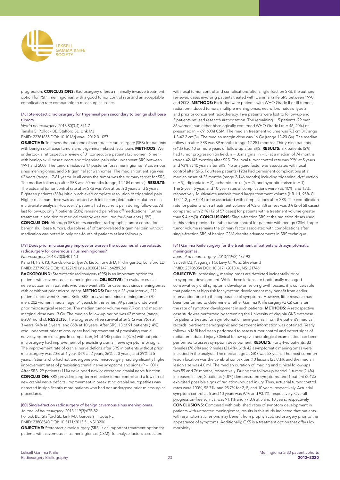

progression. CONCLUSIONS: Radiosurgery offers a minimally invasive treatment option for PSPF meningiomas, with a good tumor control rate and an acceptable complication rate comparable to most surgical series.

## [78] Stereotactic radiosurgery for trigeminal pain secondary to benign skull base tumors.

*World neurosurgery*. 2013;80(3-4):371-7

Tanaka S, Pollock BE, Stafford SL, Link MJ PMID: 22381855 DOI: 10.1016/j.wneu.2012.01.057

**OBJECTIVE:** To assess the outcome of stereotactic radiosurgery (SRS) for patients with benign skull base tumors and trigeminal-related facial pain. METHODS: We undertook a retrospective review of 31 consecutive patients (25 women, 6 men) with benign skull base tumors and trigeminal pain who underwent SRS between 1991 and 2008. The tumors included 17 posterior fossa meningiomas, 9 cavernous sinus meningiomas, and 5 trigeminal schwannomas. The median patient age was 62 years (range, 17-81 years). In all cases the tumor was the primary target for SRS. The median follow-up after SRS was 50 months (range, 12-184 months). RESULTS: The actuarial tumor control rate after SRS was 95% at both 3 years and 5 years. Eighteen patients (58%) initially achieved complete resolution of trigeminal pain. Higher maximum dose was associated with initial complete pain resolution on a multivariate analysis. However, 7 patients had recurrent pain during follow-up. At last follow-up, only 7 patients (23%) remained pain-free off medications. Further treatment in addition to medical therapy was required for 6 patients (19%). CONCLUSION: Although SRS offers excellent radiographic tumor control for benign skull base tumors, durable relief of tumor-related trigeminal pain without medication was noted in only one-fourth of patients at last follow-up.

# [79] Does prior microsurgery improve or worsen the outcomes of stereotactic radiosurgery for cavernous sinus meningiomas?

*Neurosurgery*. 2013;73(3):401-10

Kano H, Park KJ, Kondziolka D, Iyer A, Liu X, Tonetti D, Flickinger JC, Lunsford LD PMID: 23719052 DOI: 10.1227/01.neu.0000431471.64289.3d

BACKGROUND: Stereotactic radiosurgery (SRS) is an important option for patients with cavernous sinus meningiomas. OBJECTIVE: To evaluate cranial nerve outcomes in patients who underwent SRS for cavernous sinus meningiomas with or without prior microsurgery. METHODS: During a 23-year interval, 272 patients underwent Gamma Knife SRS for cavernous sinus meningiomas (70 men, 202 women; median age, 54 years). In this series, 99 patients underwent prior microsurgical resection. The median tumor volume was 7.9 cm and median marginal dose was 13 Gy. The median follow-up period was 62 months (range, 6-209 months). RESULTS: The progression-free survival after SRS was 96% at 3 years, 94% at 5 years, and 86% at 10 years. After SRS, 13 of 91 patients (14%) who underwent prior microsurgery had improvement of preexisting cranial nerve symptoms or signs. In comparison, 54 of 145 patients (37%) without prior microsurgery had improvement of preexisting cranial nerve symptoms or signs. The improvement rate of cranial nerve deficits after SRS in patients without prior microsurgery was 20% at 1 year, 34% at 2 years, 36% at 3 years, and 39% at 5 years. Patients who had not undergone prior microsurgery had significantly higher improvement rates of preexisting cranial nerve symptoms and signs (P = .001). After SRS, 29 patients (11%) developed new or worsened cranial nerve function. CONCLUSION: SRS provided long-term effective tumor control and a low risk of new cranial nerve deficits. Improvement in preexisting cranial neuropathies was detected in significantly more patients who had not undergone prior microsurgical procedures.

# [80] Single-fraction radiosurgery of benign cavernous sinus meningiomas.

*Journal of neurosurgery*. 2013;119(3):675-82 Pollock BE, Stafford SL, Link MJ, Garces YI, Foote RL

PMID: 23808540 DOI: 10.3171/2013.5.JNS13206

OBJECTIVE: Stereotactic radiosurgery (SRS) is an important treatment option for patients with cavernous sinus meningiomas (CSM). To analyze factors associated

with local tumor control and complications after single-fraction SRS, the authors reviewed cases involving patients treated with Gamma Knife SRS between 1990 and 2008. METHODS: Excluded were patients with WHO Grade II or III tumors, radiation-induced tumors, multiple meningiomas, neurofibromatosis Type 2, and prior or concurrent radiotherapy. Five patients were lost to follow-up and 3 patients refused research authorization. The remaining 115 patients (29 men, 86 women) had either histologically confirmed WHO Grade I (n = 46, 40%) or presumed (n = 69, 60%) CSM. The median treatment volume was 9.3 cm(3) (range 1.3-42.2 cm(3)). The median margin dose was 16 Gy (range 12-20 Gy). The median follow-up after SRS was 89 months (range 12-251 months). Thirty-nine patients (34%) had 10 or more years of follow-up after SRS. RESULTS: Six patients (5%) had tumor progression (in field,  $n = 3$ ; marginal,  $n = 3$ ) at a median of 74 months (range 42-145 months) after SRS. The local tumor control rate was 99% at 5 years and 93% at 10 years after SRS. No analyzed factor was associated with local control after SRS. Fourteen patients (12%) had permanent complications at a median onset of 23 months (range 2-146 months) including trigeminal dysfunction  $(n = 9)$ , diplopia  $(n = 2)$ , ischemic stroke  $(n = 2)$ , and hypopituitarism  $(n = 1)$ . The 2-year, 5-year, and 10-year rates of complications were 7%, 10%, and 15%, respectively. Multivariate analysis found larger treatment volume (HR 1.1, 95% CI 1.02-1.2, p = 0.01) to be associated with complications after SRS. The complication rate for patients with a treatment volume of 9.3 cm(3) or less was 3% (2 of 58 cases) compared with 21% (12 of 57 cases) for patients with a treatment volume greater than 9.4 cm(3). **CONCLUSIONS:** Single-fraction SRS at the radiation doses used in this series provided durable tumor control for patients with benign CSM. Larger tumor volume remains the primary factor associated with complications after single-fraction SRS of benign CSM despite advancements in SRS technique.

## [81] Gamma Knife surgery for the treatment of patients with asymptomatic meningiomas.

*Journal of neurosurgery*. 2013;119(2):487-93 Salvetti DJ, Nagaraja TG, Levy C, Xu Z, Sheehan J PMID: 23706054 DOI: 10.3171/2013.4.JNS121746

OBJECTIVE: Increasingly, meningiomas are detected incidentally, prior to symptom development. While these lesions are traditionally managed conservatively until symptoms develop or lesion growth occurs, it is conceivable that patients at high risk for symptom development may benefit from earlier intervention prior to the appearance of symptoms. However, little research has been performed to determine whether Gamma Knife surgery (GKS) can alter the rate of symptom development in such patients. METHODS: A retrospective case study was performed by screening the University of Virginia GKS database for patients treated for asymptomatic meningiomas. From the patient's medical records, pertinent demographic and treatment information was obtained. Yearly follow-up MRI had been performed to assess tumor control and detect signs of radiation-induced injury. Clinical follow-up via neurological examination had been performed to assess symptom development. RESULTS: Forty-two patients, 33 females (78.6%) and 9 males (21.4%), with 42 asymptomatic meningiomas were included in the analysis. The median age at GKS was 53 years. The most common lesion location was the cerebral convexities (10 lesions [23.8%]), and the median lesion size was 4.0 ml. The median duration of imaging and clinical follow-ups was 59 and 76 months, respectively. During the follow-up period, 1 tumor (2.4%) increased in size, 2 patients (4.8%) demonstrated symptoms, and 1 patient (2.4%) exhibited possible signs of radiation-induced injury. Thus, actuarial tumor control rates were 100%, 95.7%, and 95.7% for 2, 5, and 10 years, respectively. Actuarial symptom control at 5 and 10 years was 97% and 93.1%, respectively. Overall progression-free survival was 91.1% and 77.8% at 5 and 10 years, respectively. CONCLUSIONS: Compared with published rates of symptom development in patients with untreated meningiomas, results in this study indicated that patients with asymptomatic lesions may benefit from prophylactic radiosurgery prior to the appearance of symptoms. Additionally, GKS is a treatment option that offers low morbidity.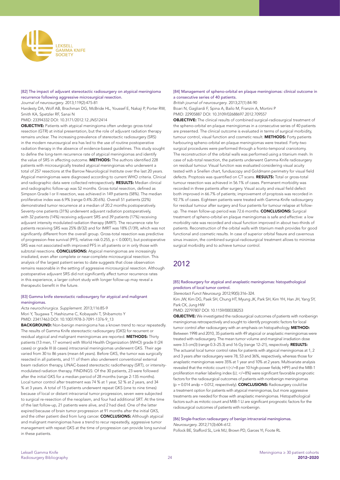

# [82] The impact of adjuvant stereotactic radiosurgery on atypical meningioma recurrence following aggressive microsurgical resection.

*Journal of neurosurgery*. 2013;119(2):475-81

Hardesty DA, Wolf AB, Brachman DG, McBride HL, Youssef E, Nakaji P, Porter RW, Smith KA, Spetzler RF, Sanai N

PMID: 23394332 DOI: 10.3171/2012.12.JNS12414

**OBJECTIVE:** Patients with atypical meningioma often undergo gross-total resection (GTR) at initial presentation, but the role of adjuvant radiation therapy remains unclear. The increasing prevalence of stereotactic radiosurgery (SRS) in the modern neurosurgical era has led to the use of routine postoperative radiation therapy in the absence of evidence-based guidelines. This study sought to define the long-term recurrence rate of atypical meningiomas and identify the value of SRS in affecting outcome. **METHODS:** The authors identified 228 patients with microsurgically treated atypical meningiomas who underwent a total of 257 resections at the Barrow Neurological Institute over the last 20 years. Atypical meningiomas were diagnosed according to current WHO criteria. Clinical and radiographic data were collected retrospectively. RESULTS: Median clinical and radiographic follow-up was 52 months. Gross-total resection, defined as Simpson Grade I or II resection, was achieved in 149 patients (58%). The median proliferative index was 6.9% (range 0.4%-20.6%). Overall 51 patients (22%) demonstrated tumor recurrence at a median of 20.2 months postoperatively. Seventy-one patients (31%) underwent adjuvant radiation postoperatively, with 32 patients (14%) receiving adjuvant SRS and 39 patients (17%) receiving adjuvant intensity modulated radiation therapy (IMRT). The recurrence rate for patients receiving SRS was 25% (8/32) and for IMRT was 18% (7/39), which was not significantly different from the overall group. Gross-total resection was predictive of progression-free survival (PFS; relative risk 0.255, p < 0.0001), but postoperative SRS was not associated with improved PFS in all patients or in only those with subtotal resections. **CONCLUSIONS:** Atypical meningiomas are increasingly irradiated, even after complete or near-complete microsurgical resection. This analysis of the largest patient series to date suggests that close observation remains reasonable in the setting of aggressive microsurgical resection. Although postoperative adjuvant SRS did not significantly affect tumor recurrence rates in this experience, a larger cohort study with longer follow-up may reveal a therapeutic benefit in the future.

#### [83] Gamma knife stereotactic radiosurgery for atypical and malignant meningiomas.

*Acta neurochirurgica. Supplement*. 2013;116:85-9 Mori Y, Tsugawa T, Hashizume C, Kobayashi T, Shibamoto Y PMID: 23417463 DOI: 10.1007/978-3-7091-1376-9\_13 **BACKGROUND:** Non-benign meningioma has a known trend to recur repeatedly.

The results of Gamma Knife stereotactic radiosurgery (GKS) for recurrent or residual atypical and malignant meningiomas are reported. METHODS: Thirty patients (13 men, 17 women) with World Health Organization (WHO) grade II (24 cases) or grade III (6 cases) intracranial meningiomas underwent GKS. Their age varied from 30 to 86 years (mean 64 years). Before GKS, the tumor was surgically resected in all patients, and 11 of them also underwent conventional external beam radiation therapy, LINAC-based stereotactic radiotherapy (SRT), or intensitymodulated radiation therapy. FINDINGS: Of the 30 patients, 23 were followed after the initial GKS for a median period of 28 months (range 2-135 months). Local tumor control after treatment was 74 % at 1 year, 52 % at 2 years, and 34 % at 3 years. A total of 15 patients underwent repeat GKS (one to nine times) because of local or distant intracranial tumor progression, seven were subjected to surgical re-resection of the neoplasm, and four had additional SRT. At the time of the last follow-up, 21 patients were alive, and 2 had died. One of the latter expired because of brain tumor progression at 91 months after the initial GKS, and the other patient died from lung cancer. CONCLUSIONS: Although atypical and malignant meningiomas have a trend to recur repeatedly, aggressive tumor management with repeat GKS at the time of progression can provide long survival in these patients.

#### [84] Management of spheno-orbital en plaque meningiomas: clinical outcome in a consecutive series of 40 patients.

*British journal of neurosurgery*. 2013;27(1):84-90 Boari N, Gagliardi F, Spina A, Bailo M, Franzin A, Mortini P PMID: 22905887 DOI: 10.3109/02688697.2012.709557

OBJECTIVE: The clinical results of combined surgical-radiosurgical treatment of the spheno-orbital en plaque meningiomas in a consecutive series of 40 patients are presented. The clinical outcome is evaluated in terms of surgical morbidity, tumour control, visual function and cosmetic result. METHODS: Forty patients harbouring spheno-orbital en plaque meningiomas were treated. Forty-two surgical procedures were performed through a fronto-temporal craniotomy. The reconstruction of the orbital walls was performed using a titanium mesh. In case of sub-total resection, the patients underwent Gamma-Knife radiosurgery on residual tumour. Visual function was evaluated considering visual acuity tested with a Snellen chart, funduscopy and Goldmann perimetry for visual field defects. Proptosis was quantified on CT scans. RESULTS: Total or gross-total tumour resection was achieved in 56.1% of cases. Permanent morbidity was recorded in three patients after surgery. Visual acuity and visual field defect both improved in 66.7% of patients; improvement of proptosis was recorded in 92.7% of cases. Eighteen patients were treated with Gamma-Knife radiosurgery for residual tumour after surgery and four patients for tumour relapse at followup. The mean follow-up period was 72.6 months. **CONCLUSIONS:** Surgical treatment of spheno-orbital en plaque meningiomas is safe and effective: a low morbidity rate was recorded and visual function improved in about two-thirds of patients. Reconstruction of the orbital walls with titanium mesh provides for good functional and cosmetic results. In case of superior orbital fissure and cavernous sinus invasion, the combined surgical-radiosurgical treatment allows to minimise surgical morbidity and to achieve tumour control.

# 2012

#### [85] Radiosurgery for atypical and anaplastic meningiomas: histopathological predictors of local tumor control.

*Stereotact Funct Neurosurg*. 2012;90(5):316–324.

Kim JW, Kim DG, Paek SH, Chung HT, Myung JK, Park SH, Kim YH, Han JH, Yang SY, Park CK, Jung HW

PMID: 22797807 DOI: 10.1159/000338253

OBJECTIVE: We investigated the radiosurgical outcomes of patients with nonbenign meningiomas retrospectively and sought to identify prognostic factors for local tumor control after radiosurgery with an emphasis on histopathology. METHOD: Between 1998 and 2010, 35 patients with 49 atypical or anaplastic meningiomas were treated with radiosurgery. The mean tumor volume and marginal irradiation dose were 3.5 cm(3) (range 0.3-25.3) and 16 Gy (range 12-21), respectively. RESULTS: The actuarial local tumor control rates for patients with atypical meningiomas at 1, 2 and 3 years after radiosurgery were 78, 53 and 36%, respectively, whereas those for anaplastic meningiomas were 35% at 1 year and 10% at 2 years. Multivariate analysis revealed that the mitotic count t (</=8 per 10 high-power fields; HPF) and the MIB-1 proliferation marker labeling index (LI; </=8%) were significant favorable prognostic factors for the radiosurgical outcomes of patients with nonbenign meningiomas  $(p = 0.014$  andp = 0.012, respectively). **CONCLUSIONS:** Radiosurgery could be a treatment option for patients with atypical meningiomas, but more aggressive treatments are needed for those with anaplastic meningiomas. Histopathological factors such as mitotic count and MIB-1 LI are significant prognostic factors for the radiosurgical outcomes of patients with nonbenign.

#### [86] Single-fraction radiosurgery of benign intracranial meningiomas.

*Neurosurgery*. 2012;71(3):604–612. Pollock BE, Stafford SL, Link MJ, Brown PD, Garces YI, Foote RL